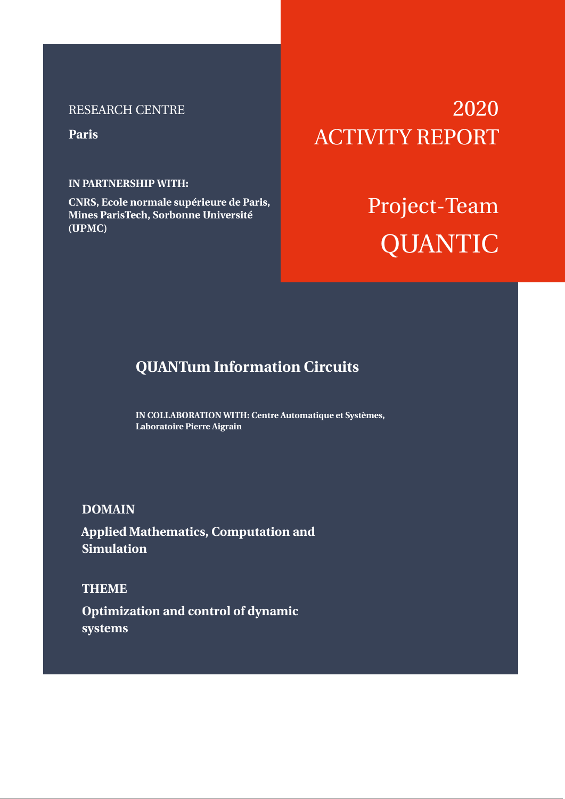# RESEARCH CENTRE

**Paris**

# **IN PARTNERSHIP WITH:**

**CNRS, Ecole normale supérieure de Paris, Mines ParisTech, Sorbonne Université (UPMC)**

# 2020 ACTIVITY REPORT

# Project-Team QUANTIC

# **QUANTum Information Circuits**

**IN COLLABORATION WITH: Centre Automatique et Systèmes, Laboratoire Pierre Aigrain**

# **DOMAIN**

**Applied Mathematics, Computation and Simulation**

# **THEME**

**Optimization and control of dynamic systems**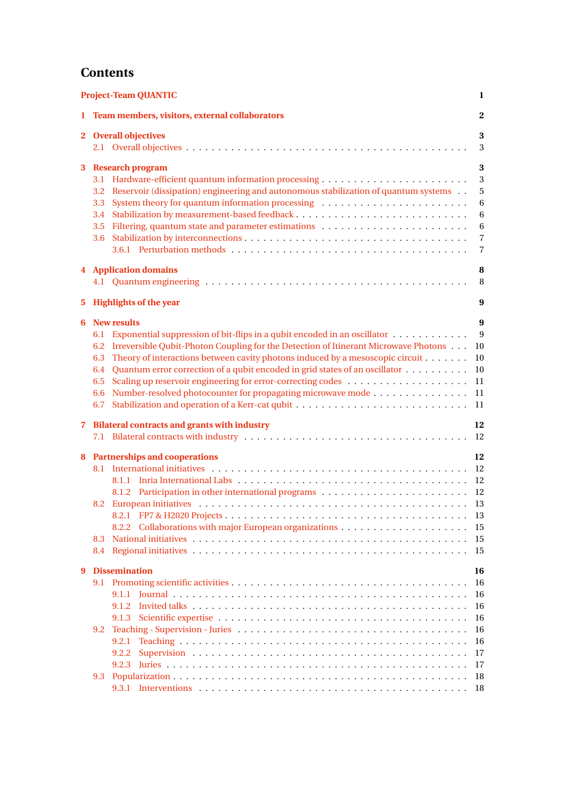# **Contents**

|    | <b>Project-Team QUANTIC</b>                                                                                                                                                                                                                                                                                                                                                                                                                                                                                                          | 1                                                                    |
|----|--------------------------------------------------------------------------------------------------------------------------------------------------------------------------------------------------------------------------------------------------------------------------------------------------------------------------------------------------------------------------------------------------------------------------------------------------------------------------------------------------------------------------------------|----------------------------------------------------------------------|
| 1. | Team members, visitors, external collaborators                                                                                                                                                                                                                                                                                                                                                                                                                                                                                       | $\mathbf{2}$                                                         |
|    | 2 Overall objectives                                                                                                                                                                                                                                                                                                                                                                                                                                                                                                                 | $\bf{3}$<br>3                                                        |
| 3  | <b>Research program</b><br>Reservoir (dissipation) engineering and autonomous stabilization of quantum systems<br>3.2<br>3.3<br>3.4<br>3.5<br>3.6                                                                                                                                                                                                                                                                                                                                                                                    | 3<br>3<br>5<br>6<br>$\,6\,$<br>6<br>$\overline{7}$<br>$\overline{7}$ |
|    | <b>4</b> Application domains                                                                                                                                                                                                                                                                                                                                                                                                                                                                                                         | 8<br>8                                                               |
| 5  | <b>Highlights of the year</b>                                                                                                                                                                                                                                                                                                                                                                                                                                                                                                        | 9                                                                    |
| 6  | <b>New results</b><br>Exponential suppression of bit-flips in a qubit encoded in an oscillator<br>6.1<br>Irreversible Qubit-Photon Coupling for the Detection of Itinerant Microwave Photons<br>6.2<br>Theory of interactions between cavity photons induced by a mesoscopic circuit<br>6.3<br>Quantum error correction of a qubit encoded in grid states of an oscillator<br>6.4<br>Scaling up reservoir engineering for error-correcting codes<br>6.5<br>Number-resolved photocounter for propagating microwave mode<br>6.6<br>6.7 | 9<br>9<br>10<br>10<br>10<br>11<br>11<br>11                           |
| 7  | <b>Bilateral contracts and grants with industry</b>                                                                                                                                                                                                                                                                                                                                                                                                                                                                                  | 12<br><sup>12</sup>                                                  |
|    | 8 Partnerships and cooperations<br>8.3<br>8.4                                                                                                                                                                                                                                                                                                                                                                                                                                                                                        | 12<br>12<br>- 15<br>15<br>15                                         |
| 9  | <b>Dissemination</b>                                                                                                                                                                                                                                                                                                                                                                                                                                                                                                                 | 16                                                                   |
|    | 9.1<br>9.1.1<br>9.2<br>9.2.1<br>9.2.2<br>9.2.3                                                                                                                                                                                                                                                                                                                                                                                                                                                                                       | 16<br>16<br>16<br>16<br>16<br>16<br>17<br>17                         |
|    | 9.3<br>9.3.1                                                                                                                                                                                                                                                                                                                                                                                                                                                                                                                         | 18<br>18                                                             |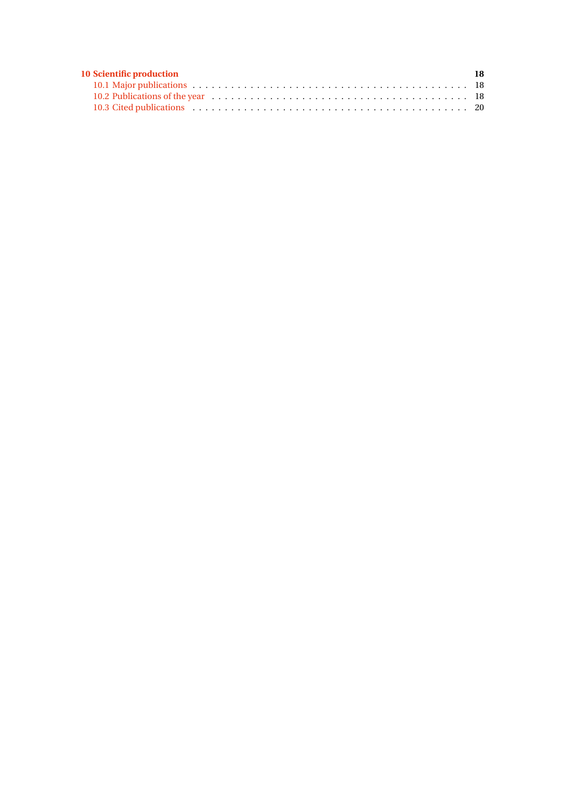| <b>10 Scientific production</b><br>- 18                                                                                                                                                                                        |  |
|--------------------------------------------------------------------------------------------------------------------------------------------------------------------------------------------------------------------------------|--|
|                                                                                                                                                                                                                                |  |
| 10.2 Publications of the year entertainment is not in the year entertainment in the set of the year entertainment is not in the position of the year entertainment is not in the set of the set of the set of the set of the s |  |
|                                                                                                                                                                                                                                |  |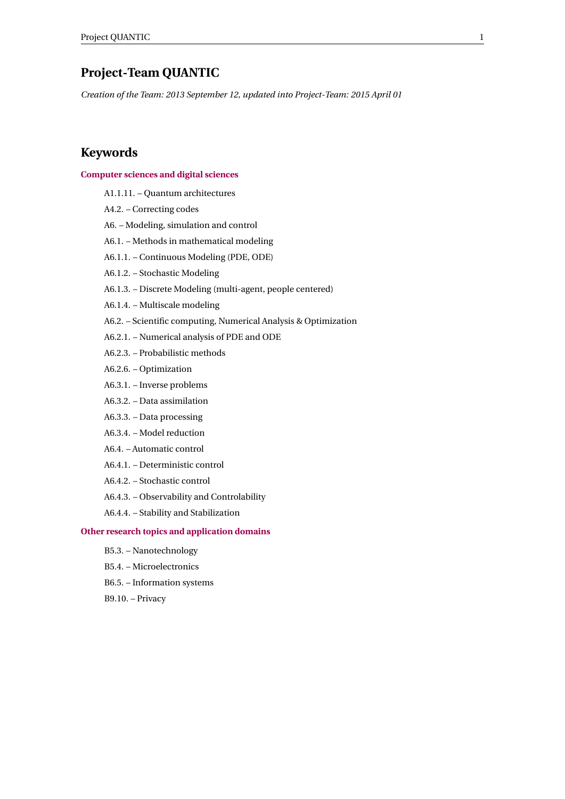# <span id="page-3-0"></span>**Project-Team QUANTIC**

*Creation of the Team: 2013 September 12, updated into Project-Team: 2015 April 01*

# **Keywords**

## **[Computer sciences and digital sciences](https://raweb.inria.fr/rapportsactivite/RA2020/static/keywords/ComputerScienceandDigitalScience.html)**

- A1.1.11. Quantum architectures
- A4.2. Correcting codes
- A6. Modeling, simulation and control
- A6.1. Methods in mathematical modeling
- A6.1.1. Continuous Modeling (PDE, ODE)
- A6.1.2. Stochastic Modeling
- A6.1.3. Discrete Modeling (multi-agent, people centered)
- A6.1.4. Multiscale modeling
- A6.2. Scientific computing, Numerical Analysis & Optimization
- A6.2.1. Numerical analysis of PDE and ODE
- A6.2.3. Probabilistic methods
- A6.2.6. Optimization
- A6.3.1. Inverse problems
- A6.3.2. Data assimilation
- A6.3.3. Data processing
- A6.3.4. Model reduction
- A6.4. Automatic control
- A6.4.1. Deterministic control
- A6.4.2. Stochastic control
- A6.4.3. Observability and Controlability
- A6.4.4. Stability and Stabilization

## **[Other research topics and application domains](https://raweb.inria.fr/rapportsactivite/RA2020/static/keywords/OtherResearchTopicsandApplicationDomains.html)**

- B5.3. Nanotechnology
- B5.4. Microelectronics
- B6.5. Information systems
- B9.10. Privacy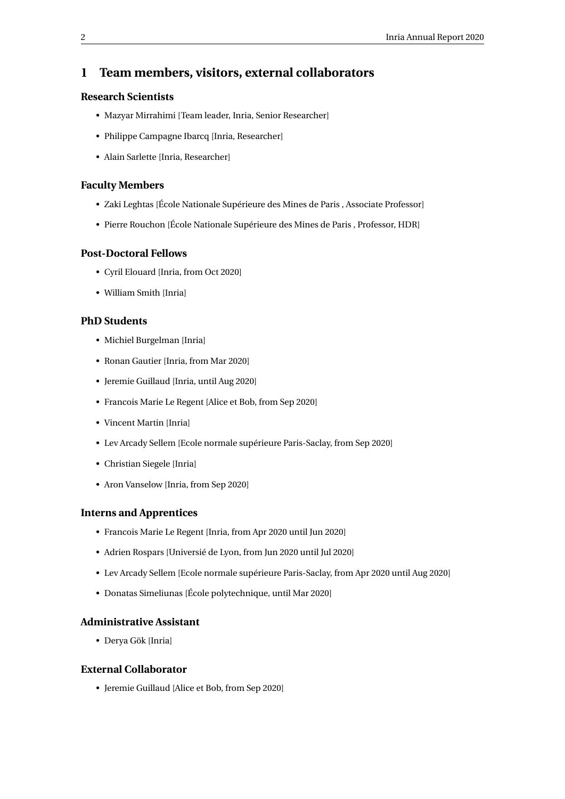# <span id="page-4-0"></span>**1 Team members, visitors, external collaborators**

# **Research Scientists**

- Mazyar Mirrahimi [Team leader, Inria, Senior Researcher]
- Philippe Campagne Ibarcq [Inria, Researcher]
- Alain Sarlette [Inria, Researcher]

# **Faculty Members**

- Zaki Leghtas [École Nationale Supérieure des Mines de Paris , Associate Professor]
- Pierre Rouchon [École Nationale Supérieure des Mines de Paris , Professor, HDR]

## **Post-Doctoral Fellows**

- Cyril Elouard [Inria, from Oct 2020]
- William Smith [Inria]

# **PhD Students**

- Michiel Burgelman [Inria]
- Ronan Gautier [Inria, from Mar 2020]
- Jeremie Guillaud [Inria, until Aug 2020]
- Francois Marie Le Regent [Alice et Bob, from Sep 2020]
- Vincent Martin [Inria]
- Lev Arcady Sellem [Ecole normale supérieure Paris-Saclay, from Sep 2020]
- Christian Siegele [Inria]
- Aron Vanselow [Inria, from Sep 2020]

# **Interns and Apprentices**

- Francois Marie Le Regent [Inria, from Apr 2020 until Jun 2020]
- Adrien Rospars [Universié de Lyon, from Jun 2020 until Jul 2020]
- Lev Arcady Sellem [Ecole normale supérieure Paris-Saclay, from Apr 2020 until Aug 2020]
- Donatas Simeliunas [École polytechnique, until Mar 2020]

# **Administrative Assistant**

• Derya Gök [Inria]

# **External Collaborator**

• Jeremie Guillaud [Alice et Bob, from Sep 2020]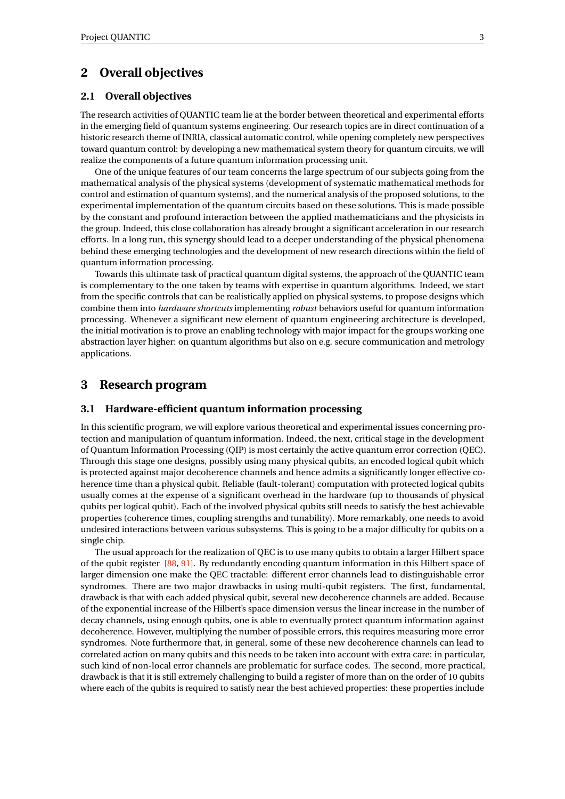# <span id="page-5-0"></span>**2 Overall objectives**

# <span id="page-5-1"></span>**2.1 Overall objectives**

The research activities of QUANTIC team lie at the border between theoretical and experimental efforts in the emerging field of quantum systems engineering. Our research topics are in direct continuation of a historic research theme of INRIA, classical automatic control, while opening completely new perspectives toward quantum control: by developing a new mathematical system theory for quantum circuits, we will realize the components of a future quantum information processing unit.

One of the unique features of our team concerns the large spectrum of our subjects going from the mathematical analysis of the physical systems (development of systematic mathematical methods for control and estimation of quantum systems), and the numerical analysis of the proposed solutions, to the experimental implementation of the quantum circuits based on these solutions. This is made possible by the constant and profound interaction between the applied mathematicians and the physicists in the group. Indeed, this close collaboration has already brought a significant acceleration in our research efforts. In a long run, this synergy should lead to a deeper understanding of the physical phenomena behind these emerging technologies and the development of new research directions within the field of quantum information processing.

Towards this ultimate task of practical quantum digital systems, the approach of the QUANTIC team is complementary to the one taken by teams with expertise in quantum algorithms. Indeed, we start from the specific controls that can be realistically applied on physical systems, to propose designs which combine them into *hardware shortcuts* implementing *robust* behaviors useful for quantum information processing. Whenever a significant new element of quantum engineering architecture is developed, the initial motivation is to prove an enabling technology with major impact for the groups working one abstraction layer higher: on quantum algorithms but also on e.g. secure communication and metrology applications.

# <span id="page-5-2"></span>**3 Research program**

## <span id="page-5-3"></span>**3.1 Hardware-efficient quantum information processing**

In this scientific program, we will explore various theoretical and experimental issues concerning protection and manipulation of quantum information. Indeed, the next, critical stage in the development of Quantum Information Processing (QIP) is most certainly the active quantum error correction (QEC). Through this stage one designs, possibly using many physical qubits, an encoded logical qubit which is protected against major decoherence channels and hence admits a significantly longer effective coherence time than a physical qubit. Reliable (fault-tolerant) computation with protected logical qubits usually comes at the expense of a significant overhead in the hardware (up to thousands of physical qubits per logical qubit). Each of the involved physical qubits still needs to satisfy the best achievable properties (coherence times, coupling strengths and tunability). More remarkably, one needs to avoid undesired interactions between various subsystems. This is going to be a major difficulty for qubits on a single chip.

The usual approach for the realization of QEC is to use many qubits to obtain a larger Hilbert space of the qubit register [\[88,](#page-24-0) [91\]](#page-25-0). By redundantly encoding quantum information in this Hilbert space of larger dimension one make the QEC tractable: different error channels lead to distinguishable error syndromes. There are two major drawbacks in using multi-qubit registers. The first, fundamental, drawback is that with each added physical qubit, several new decoherence channels are added. Because of the exponential increase of the Hilbert's space dimension versus the linear increase in the number of decay channels, using enough qubits, one is able to eventually protect quantum information against decoherence. However, multiplying the number of possible errors, this requires measuring more error syndromes. Note furthermore that, in general, some of these new decoherence channels can lead to correlated action on many qubits and this needs to be taken into account with extra care: in particular, such kind of non-local error channels are problematic for surface codes. The second, more practical, drawback is that it is still extremely challenging to build a register of more than on the order of 10 qubits where each of the qubits is required to satisfy near the best achieved properties: these properties include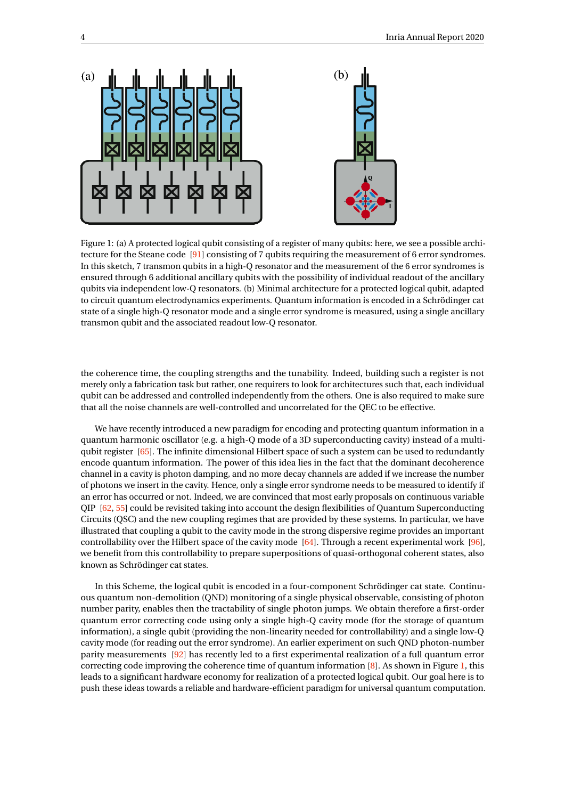

<span id="page-6-0"></span>Figure 1: (a) A protected logical qubit consisting of a register of many qubits: here, we see a possible architecture for the Steane code [\[91\]](#page-25-0) consisting of 7 qubits requiring the measurement of 6 error syndromes. In this sketch, 7 transmon qubits in a high-Q resonator and the measurement of the 6 error syndromes is ensured through 6 additional ancillary qubits with the possibility of individual readout of the ancillary qubits via independent low-Q resonators. (b) Minimal architecture for a protected logical qubit, adapted to circuit quantum electrodynamics experiments. Quantum information is encoded in a Schrödinger cat state of a single high-Q resonator mode and a single error syndrome is measured, using a single ancillary transmon qubit and the associated readout low-Q resonator.

the coherence time, the coupling strengths and the tunability. Indeed, building such a register is not merely only a fabrication task but rather, one requirers to look for architectures such that, each individual qubit can be addressed and controlled independently from the others. One is also required to make sure that all the noise channels are well-controlled and uncorrelated for the QEC to be effective.

We have recently introduced a new paradigm for encoding and protecting quantum information in a quantum harmonic oscillator (e.g. a high-Q mode of a 3D superconducting cavity) instead of a multi-qubit register [\[65\]](#page-23-0). The infinite dimensional Hilbert space of such a system can be used to redundantly encode quantum information. The power of this idea lies in the fact that the dominant decoherence channel in a cavity is photon damping, and no more decay channels are added if we increase the number of photons we insert in the cavity. Hence, only a single error syndrome needs to be measured to identify if an error has occurred or not. Indeed, we are convinced that most early proposals on continuous variable QIP [\[62,](#page-23-1) [55\]](#page-23-2) could be revisited taking into account the design flexibilities of Quantum Superconducting Circuits (QSC) and the new coupling regimes that are provided by these systems. In particular, we have illustrated that coupling a qubit to the cavity mode in the strong dispersive regime provides an important controllability over the Hilbert space of the cavity mode [\[64\]](#page-23-3). Through a recent experimental work [\[96\]](#page-25-1), we benefit from this controllability to prepare superpositions of quasi-orthogonal coherent states, also known as Schrödinger cat states.

In this Scheme, the logical qubit is encoded in a four-component Schrödinger cat state. Continuous quantum non-demolition (QND) monitoring of a single physical observable, consisting of photon number parity, enables then the tractability of single photon jumps. We obtain therefore a first-order quantum error correcting code using only a single high-Q cavity mode (for the storage of quantum information), a single qubit (providing the non-linearity needed for controllability) and a single low-Q cavity mode (for reading out the error syndrome). An earlier experiment on such QND photon-number parity measurements [\[92\]](#page-25-2) has recently led to a first experimental realization of a full quantum error correcting code improving the coherence time of quantum information  $[8]$ . As shown in Figure [1,](#page-6-0) this leads to a significant hardware economy for realization of a protected logical qubit. Our goal here is to push these ideas towards a reliable and hardware-efficient paradigm for universal quantum computation.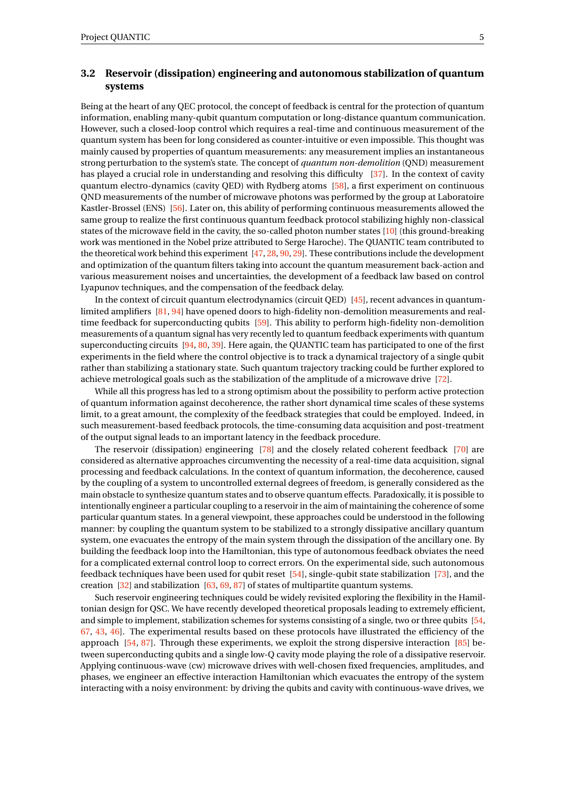<span id="page-7-0"></span>Being at the heart of any QEC protocol, the concept of feedback is central for the protection of quantum information, enabling many-qubit quantum computation or long-distance quantum communication. However, such a closed-loop control which requires a real-time and continuous measurement of the quantum system has been for long considered as counter-intuitive or even impossible. This thought was mainly caused by properties of quantum measurements: any measurement implies an instantaneous strong perturbation to the system's state. The concept of *quantum non-demolition* (QND) measurement has played a crucial role in understanding and resolving this difficulty [\[37\]](#page-22-1). In the context of cavity quantum electro-dynamics (cavity QED) with Rydberg atoms [\[58\]](#page-23-4), a first experiment on continuous QND measurements of the number of microwave photons was performed by the group at Laboratoire Kastler-Brossel (ENS) [\[56\]](#page-23-5). Later on, this ability of performing continuous measurements allowed the same group to realize the first continuous quantum feedback protocol stabilizing highly non-classical states of the microwave field in the cavity, the so-called photon number states [\[10\]](#page-20-6) (this ground-breaking work was mentioned in the Nobel prize attributed to Serge Haroche). The QUANTIC team contributed to the theoretical work behind this experiment [\[47,](#page-22-2) [28,](#page-22-3) [90,](#page-25-3) [29\]](#page-22-4). These contributions include the development and optimization of the quantum filters taking into account the quantum measurement back-action and various measurement noises and uncertainties, the development of a feedback law based on control Lyapunov techniques, and the compensation of the feedback delay.

In the context of circuit quantum electrodynamics (circuit QED) [\[45\]](#page-22-5), recent advances in quantumlimited amplifiers [\[81,](#page-24-1) [94\]](#page-25-4) have opened doors to high-fidelity non-demolition measurements and real-time feedback for superconducting qubits [\[59\]](#page-23-6). This ability to perform high-fidelity non-demolition measurements of a quantum signal has very recently led to quantum feedback experiments with quantum superconducting circuits [\[94,](#page-25-4) [80,](#page-24-2) [39\]](#page-22-6). Here again, the QUANTIC team has participated to one of the first experiments in the field where the control objective is to track a dynamical trajectory of a single qubit rather than stabilizing a stationary state. Such quantum trajectory tracking could be further explored to achieve metrological goals such as the stabilization of the amplitude of a microwave drive [\[72\]](#page-24-3).

While all this progress has led to a strong optimism about the possibility to perform active protection of quantum information against decoherence, the rather short dynamical time scales of these systems limit, to a great amount, the complexity of the feedback strategies that could be employed. Indeed, in such measurement-based feedback protocols, the time-consuming data acquisition and post-treatment of the output signal leads to an important latency in the feedback procedure.

The reservoir (dissipation) engineering [\[78\]](#page-24-4) and the closely related coherent feedback [\[70\]](#page-24-5) are considered as alternative approaches circumventing the necessity of a real-time data acquisition, signal processing and feedback calculations. In the context of quantum information, the decoherence, caused by the coupling of a system to uncontrolled external degrees of freedom, is generally considered as the main obstacle to synthesize quantum states and to observe quantum effects. Paradoxically, it is possible to intentionally engineer a particular coupling to a reservoir in the aim of maintaining the coherence of some particular quantum states. In a general viewpoint, these approaches could be understood in the following manner: by coupling the quantum system to be stabilized to a strongly dissipative ancillary quantum system, one evacuates the entropy of the main system through the dissipation of the ancillary one. By building the feedback loop into the Hamiltonian, this type of autonomous feedback obviates the need for a complicated external control loop to correct errors. On the experimental side, such autonomous feedback techniques have been used for qubit reset [\[54\]](#page-23-7), single-qubit state stabilization [\[73\]](#page-24-6), and the creation  $[32]$  and stabilization  $[63, 69, 87]$  $[63, 69, 87]$  $[63, 69, 87]$  $[63, 69, 87]$  $[63, 69, 87]$  of states of multipartite quantum systems.

Such reservoir engineering techniques could be widely revisited exploring the flexibility in the Hamiltonian design for QSC. We have recently developed theoretical proposals leading to extremely efficient, and simple to implement, stabilization schemes for systems consisting of a single, two or three qubits [\[54,](#page-23-7) [67,](#page-23-9) [43,](#page-22-8) [46\]](#page-22-9). The experimental results based on these protocols have illustrated the efficiency of the approach [\[54,](#page-23-7) [87\]](#page-24-8). Through these experiments, we exploit the strong dispersive interaction [\[85\]](#page-24-9) between superconducting qubits and a single low-Q cavity mode playing the role of a dissipative reservoir. Applying continuous-wave (cw) microwave drives with well-chosen fixed frequencies, amplitudes, and phases, we engineer an effective interaction Hamiltonian which evacuates the entropy of the system interacting with a noisy environment: by driving the qubits and cavity with continuous-wave drives, we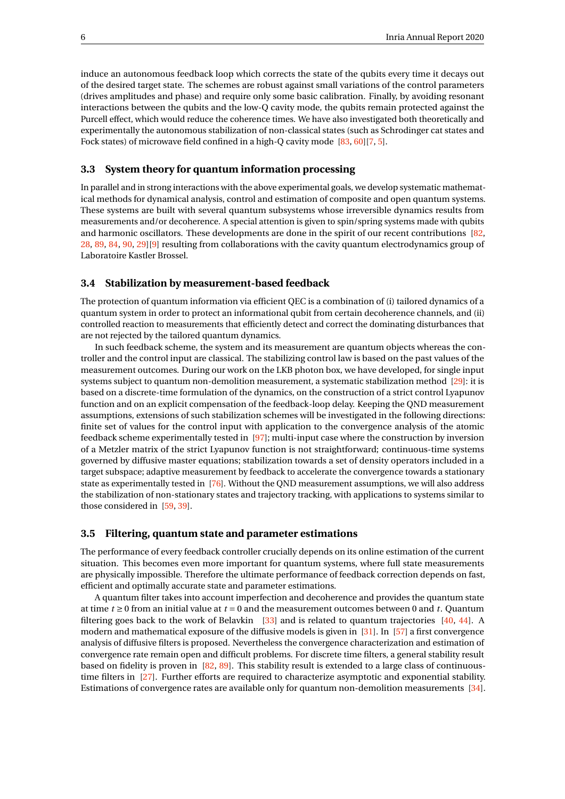induce an autonomous feedback loop which corrects the state of the qubits every time it decays out of the desired target state. The schemes are robust against small variations of the control parameters (drives amplitudes and phase) and require only some basic calibration. Finally, by avoiding resonant interactions between the qubits and the low-Q cavity mode, the qubits remain protected against the Purcell effect, which would reduce the coherence times. We have also investigated both theoretically and experimentally the autonomous stabilization of non-classical states (such as Schrodinger cat states and Fock states) of microwave field confined in a high-Q cavity mode [\[83,](#page-24-10) [60\]](#page-23-10)[\[7,](#page-20-7) [5\]](#page-20-8).

#### <span id="page-8-0"></span>**3.3 System theory for quantum information processing**

In parallel and in strong interactions with the above experimental goals, we develop systematic mathematical methods for dynamical analysis, control and estimation of composite and open quantum systems. These systems are built with several quantum subsystems whose irreversible dynamics results from measurements and/or decoherence. A special attention is given to spin/spring systems made with qubits and harmonic oscillators. These developments are done in the spirit of our recent contributions [\[82,](#page-24-11) [28,](#page-22-3) [89,](#page-25-5) [84,](#page-24-12) [90,](#page-25-3) [29\]](#page-22-4)[\[9\]](#page-20-9) resulting from collaborations with the cavity quantum electrodynamics group of Laboratoire Kastler Brossel.

## <span id="page-8-1"></span>**3.4 Stabilization by measurement-based feedback**

The protection of quantum information via efficient QEC is a combination of (i) tailored dynamics of a quantum system in order to protect an informational qubit from certain decoherence channels, and (ii) controlled reaction to measurements that efficiently detect and correct the dominating disturbances that are not rejected by the tailored quantum dynamics.

In such feedback scheme, the system and its measurement are quantum objects whereas the controller and the control input are classical. The stabilizing control law is based on the past values of the measurement outcomes. During our work on the LKB photon box, we have developed, for single input systems subject to quantum non-demolition measurement, a systematic stabilization method [\[29\]](#page-22-4): it is based on a discrete-time formulation of the dynamics, on the construction of a strict control Lyapunov function and on an explicit compensation of the feedback-loop delay. Keeping the QND measurement assumptions, extensions of such stabilization schemes will be investigated in the following directions: finite set of values for the control input with application to the convergence analysis of the atomic feedback scheme experimentally tested in [\[97\]](#page-25-6); multi-input case where the construction by inversion of a Metzler matrix of the strict Lyapunov function is not straightforward; continuous-time systems governed by diffusive master equations; stabilization towards a set of density operators included in a target subspace; adaptive measurement by feedback to accelerate the convergence towards a stationary state as experimentally tested in [\[76\]](#page-24-13). Without the QND measurement assumptions, we will also address the stabilization of non-stationary states and trajectory tracking, with applications to systems similar to those considered in [\[59,](#page-23-6) [39\]](#page-22-6).

# <span id="page-8-2"></span>**3.5 Filtering, quantum state and parameter estimations**

The performance of every feedback controller crucially depends on its online estimation of the current situation. This becomes even more important for quantum systems, where full state measurements are physically impossible. Therefore the ultimate performance of feedback correction depends on fast, efficient and optimally accurate state and parameter estimations.

A quantum filter takes into account imperfection and decoherence and provides the quantum state at time *t* ≥ 0 from an initial value at *t* = 0 and the measurement outcomes between 0 and *t*. Quantum filtering goes back to the work of Belavkin [\[33\]](#page-22-10) and is related to quantum trajectories [\[40,](#page-22-11) [44\]](#page-22-12). A modern and mathematical exposure of the diffusive models is given in [\[31\]](#page-22-13). In [\[57\]](#page-23-11) a first convergence analysis of diffusive filters is proposed. Nevertheless the convergence characterization and estimation of convergence rate remain open and difficult problems. For discrete time filters, a general stability result based on fidelity is proven in [\[82,](#page-24-11) [89\]](#page-25-5). This stability result is extended to a large class of continuoustime filters in [\[27\]](#page-22-14). Further efforts are required to characterize asymptotic and exponential stability. Estimations of convergence rates are available only for quantum non-demolition measurements [\[34\]](#page-22-15).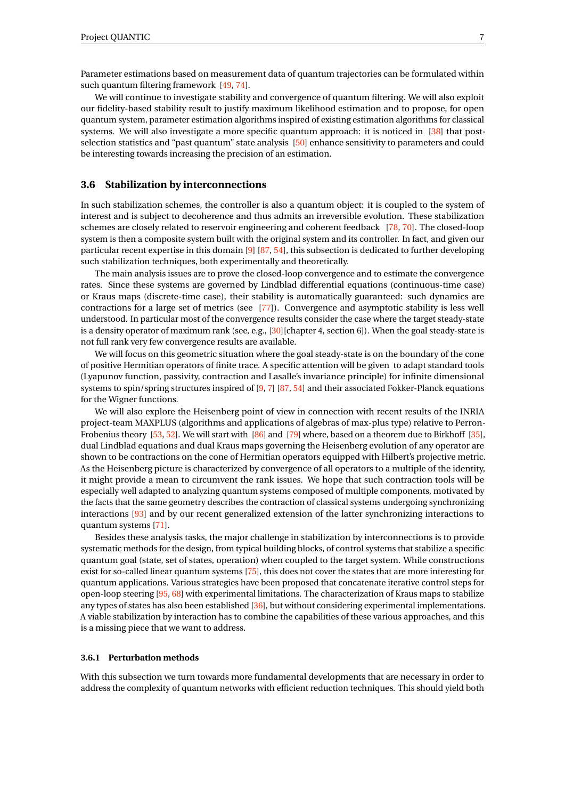Parameter estimations based on measurement data of quantum trajectories can be formulated within such quantum filtering framework [\[49,](#page-23-12) [74\]](#page-24-14).

We will continue to investigate stability and convergence of quantum filtering. We will also exploit our fidelity-based stability result to justify maximum likelihood estimation and to propose, for open quantum system, parameter estimation algorithms inspired of existing estimation algorithms for classical systems. We will also investigate a more specific quantum approach: it is noticed in [\[38\]](#page-22-16) that postselection statistics and "past quantum" state analysis [\[50\]](#page-23-13) enhance sensitivity to parameters and could be interesting towards increasing the precision of an estimation.

## <span id="page-9-0"></span>**3.6 Stabilization by interconnections**

In such stabilization schemes, the controller is also a quantum object: it is coupled to the system of interest and is subject to decoherence and thus admits an irreversible evolution. These stabilization schemes are closely related to reservoir engineering and coherent feedback [\[78,](#page-24-4) [70\]](#page-24-5). The closed-loop system is then a composite system built with the original system and its controller. In fact, and given our particular recent expertise in this domain [\[9\]](#page-20-9) [\[87,](#page-24-8) [54\]](#page-23-7), this subsection is dedicated to further developing such stabilization techniques, both experimentally and theoretically.

The main analysis issues are to prove the closed-loop convergence and to estimate the convergence rates. Since these systems are governed by Lindblad differential equations (continuous-time case) or Kraus maps (discrete-time case), their stability is automatically guaranteed: such dynamics are contractions for a large set of metrics (see [\[77\]](#page-24-15)). Convergence and asymptotic stability is less well understood. In particular most of the convergence results consider the case where the target steady-state is a density operator of maximum rank (see, e.g., [\[30\]](#page-22-17)[chapter 4, section 6]). When the goal steady-state is not full rank very few convergence results are available.

We will focus on this geometric situation where the goal steady-state is on the boundary of the cone of positive Hermitian operators of finite trace. A specific attention will be given to adapt standard tools (Lyapunov function, passivity, contraction and Lasalle's invariance principle) for infinite dimensional systems to spin/spring structures inspired of [\[9,](#page-20-9) [7\]](#page-20-7) [\[87,](#page-24-8) [54\]](#page-23-7) and their associated Fokker-Planck equations for the Wigner functions.

We will also explore the Heisenberg point of view in connection with recent results of the INRIA project-team MAXPLUS (algorithms and applications of algebras of max-plus type) relative to Perron-Frobenius theory [\[53,](#page-23-14) [52\]](#page-23-15). We will start with [\[86\]](#page-24-16) and [\[79\]](#page-24-17) where, based on a theorem due to Birkhoff [\[35\]](#page-22-18), dual Lindblad equations and dual Kraus maps governing the Heisenberg evolution of any operator are shown to be contractions on the cone of Hermitian operators equipped with Hilbert's projective metric. As the Heisenberg picture is characterized by convergence of all operators to a multiple of the identity, it might provide a mean to circumvent the rank issues. We hope that such contraction tools will be especially well adapted to analyzing quantum systems composed of multiple components, motivated by the facts that the same geometry describes the contraction of classical systems undergoing synchronizing interactions [\[93\]](#page-25-7) and by our recent generalized extension of the latter synchronizing interactions to quantum systems [\[71\]](#page-24-18).

Besides these analysis tasks, the major challenge in stabilization by interconnections is to provide systematic methods for the design, from typical building blocks, of control systems that stabilize a specific quantum goal (state, set of states, operation) when coupled to the target system. While constructions exist for so-called linear quantum systems [\[75\]](#page-24-19), this does not cover the states that are more interesting for quantum applications. Various strategies have been proposed that concatenate iterative control steps for open-loop steering [\[95,](#page-25-8) [68\]](#page-23-16) with experimental limitations. The characterization of Kraus maps to stabilize any types of states has also been established [\[36\]](#page-22-19), but without considering experimental implementations. A viable stabilization by interaction has to combine the capabilities of these various approaches, and this is a missing piece that we want to address.

#### <span id="page-9-1"></span>**3.6.1 Perturbation methods**

With this subsection we turn towards more fundamental developments that are necessary in order to address the complexity of quantum networks with efficient reduction techniques. This should yield both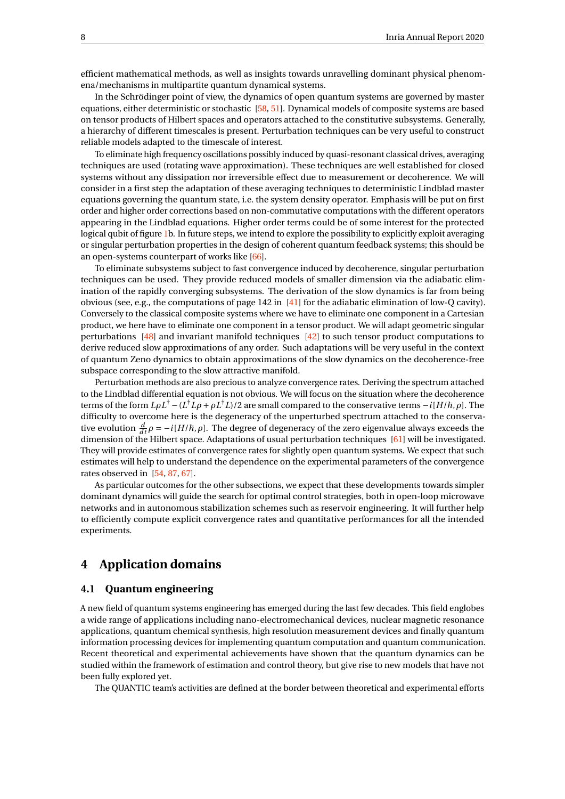efficient mathematical methods, as well as insights towards unravelling dominant physical phenomena/mechanisms in multipartite quantum dynamical systems.

In the Schrödinger point of view, the dynamics of open quantum systems are governed by master equations, either deterministic or stochastic [\[58,](#page-23-4) [51\]](#page-23-17). Dynamical models of composite systems are based on tensor products of Hilbert spaces and operators attached to the constitutive subsystems. Generally, a hierarchy of different timescales is present. Perturbation techniques can be very useful to construct reliable models adapted to the timescale of interest.

To eliminate high frequency oscillations possibly induced by quasi-resonant classical drives, averaging techniques are used (rotating wave approximation). These techniques are well established for closed systems without any dissipation nor irreversible effect due to measurement or decoherence. We will consider in a first step the adaptation of these averaging techniques to deterministic Lindblad master equations governing the quantum state, i.e. the system density operator. Emphasis will be put on first order and higher order corrections based on non-commutative computations with the different operators appearing in the Lindblad equations. Higher order terms could be of some interest for the protected logical qubit of figure [1b](#page-6-0). In future steps, we intend to explore the possibility to explicitly exploit averaging or singular perturbation properties in the design of coherent quantum feedback systems; this should be an open-systems counterpart of works like [\[66\]](#page-23-18).

To eliminate subsystems subject to fast convergence induced by decoherence, singular perturbation techniques can be used. They provide reduced models of smaller dimension via the adiabatic elimination of the rapidly converging subsystems. The derivation of the slow dynamics is far from being obvious (see, e.g., the computations of page 142 in [\[41\]](#page-22-20) for the adiabatic elimination of low-Q cavity). Conversely to the classical composite systems where we have to eliminate one component in a Cartesian product, we here have to eliminate one component in a tensor product. We will adapt geometric singular perturbations [\[48\]](#page-22-21) and invariant manifold techniques [\[42\]](#page-22-22) to such tensor product computations to derive reduced slow approximations of any order. Such adaptations will be very useful in the context of quantum Zeno dynamics to obtain approximations of the slow dynamics on the decoherence-free subspace corresponding to the slow attractive manifold.

Perturbation methods are also precious to analyze convergence rates. Deriving the spectrum attached to the Lindblad differential equation is not obvious. We will focus on the situation where the decoherence terms of the form  $L\rho L^\dagger$  – ( $L^\dagger L\rho$  +  $\rho L^\dagger L$ )/2 are small compared to the conservative terms –  $i$ [*H*/ħ,  $\rho$ ]. The difficulty to overcome here is the degeneracy of the unperturbed spectrum attached to the conservative evolution  $\frac{d}{dt} \rho = -i[H/\hbar, \rho]$ . The degree of degeneracy of the zero eigenvalue always exceeds the dimension of the Hilbert space. Adaptations of usual perturbation techniques [\[61\]](#page-23-19) will be investigated. They will provide estimates of convergence rates for slightly open quantum systems. We expect that such estimates will help to understand the dependence on the experimental parameters of the convergence rates observed in [\[54,](#page-23-7) [87,](#page-24-8) [67\]](#page-23-9).

As particular outcomes for the other subsections, we expect that these developments towards simpler dominant dynamics will guide the search for optimal control strategies, both in open-loop microwave networks and in autonomous stabilization schemes such as reservoir engineering. It will further help to efficiently compute explicit convergence rates and quantitative performances for all the intended experiments.

# <span id="page-10-0"></span>**4 Application domains**

# <span id="page-10-1"></span>**4.1 Quantum engineering**

A new field of quantum systems engineering has emerged during the last few decades. This field englobes a wide range of applications including nano-electromechanical devices, nuclear magnetic resonance applications, quantum chemical synthesis, high resolution measurement devices and finally quantum information processing devices for implementing quantum computation and quantum communication. Recent theoretical and experimental achievements have shown that the quantum dynamics can be studied within the framework of estimation and control theory, but give rise to new models that have not been fully explored yet.

The QUANTIC team's activities are defined at the border between theoretical and experimental efforts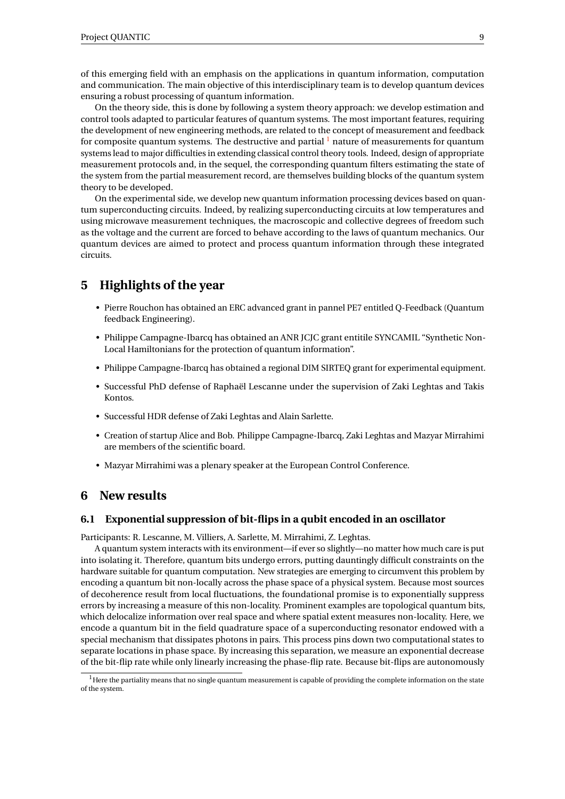of this emerging field with an emphasis on the applications in quantum information, computation and communication. The main objective of this interdisciplinary team is to develop quantum devices ensuring a robust processing of quantum information.

On the theory side, this is done by following a system theory approach: we develop estimation and control tools adapted to particular features of quantum systems. The most important features, requiring the development of new engineering methods, are related to the concept of measurement and feedback for composite quantum systems. The destructive and partial  $<sup>1</sup>$  $<sup>1</sup>$  $<sup>1</sup>$  nature of measurements for quantum</sup> systems lead to major difficulties in extending classical control theory tools. Indeed, design of appropriate measurement protocols and, in the sequel, the corresponding quantum filters estimating the state of the system from the partial measurement record, are themselves building blocks of the quantum system theory to be developed.

On the experimental side, we develop new quantum information processing devices based on quantum superconducting circuits. Indeed, by realizing superconducting circuits at low temperatures and using microwave measurement techniques, the macroscopic and collective degrees of freedom such as the voltage and the current are forced to behave according to the laws of quantum mechanics. Our quantum devices are aimed to protect and process quantum information through these integrated circuits.

# <span id="page-11-0"></span>**5 Highlights of the year**

- Pierre Rouchon has obtained an ERC advanced grant in pannel PE7 entitled Q-Feedback (Quantum feedback Engineering).
- Philippe Campagne-Ibarcq has obtained an ANR JCJC grant entitile SYNCAMIL "Synthetic Non-Local Hamiltonians for the protection of quantum information".
- Philippe Campagne-Ibarcq has obtained a regional DIM SIRTEQ grant for experimental equipment.
- Successful PhD defense of Raphaël Lescanne under the supervision of Zaki Leghtas and Takis Kontos.
- Successful HDR defense of Zaki Leghtas and Alain Sarlette.
- Creation of startup Alice and Bob. Philippe Campagne-Ibarcq, Zaki Leghtas and Mazyar Mirrahimi are members of the scientific board.
- Mazyar Mirrahimi was a plenary speaker at the European Control Conference.

# <span id="page-11-1"></span>**6 New results**

# <span id="page-11-2"></span>**6.1 Exponential suppression of bit-flips in a qubit encoded in an oscillator**

Participants: R. Lescanne, M. Villiers, A. Sarlette, M. Mirrahimi, Z. Leghtas.

A quantum system interacts with its environment—if ever so slightly—no matter how much care is put into isolating it. Therefore, quantum bits undergo errors, putting dauntingly difficult constraints on the hardware suitable for quantum computation. New strategies are emerging to circumvent this problem by encoding a quantum bit non-locally across the phase space of a physical system. Because most sources of decoherence result from local fluctuations, the foundational promise is to exponentially suppress errors by increasing a measure of this non-locality. Prominent examples are topological quantum bits, which delocalize information over real space and where spatial extent measures non-locality. Here, we encode a quantum bit in the field quadrature space of a superconducting resonator endowed with a special mechanism that dissipates photons in pairs. This process pins down two computational states to separate locations in phase space. By increasing this separation, we measure an exponential decrease of the bit-flip rate while only linearly increasing the phase-flip rate. Because bit-flips are autonomously

<span id="page-11-3"></span> $1$ Here the partiality means that no single quantum measurement is capable of providing the complete information on the state of the system.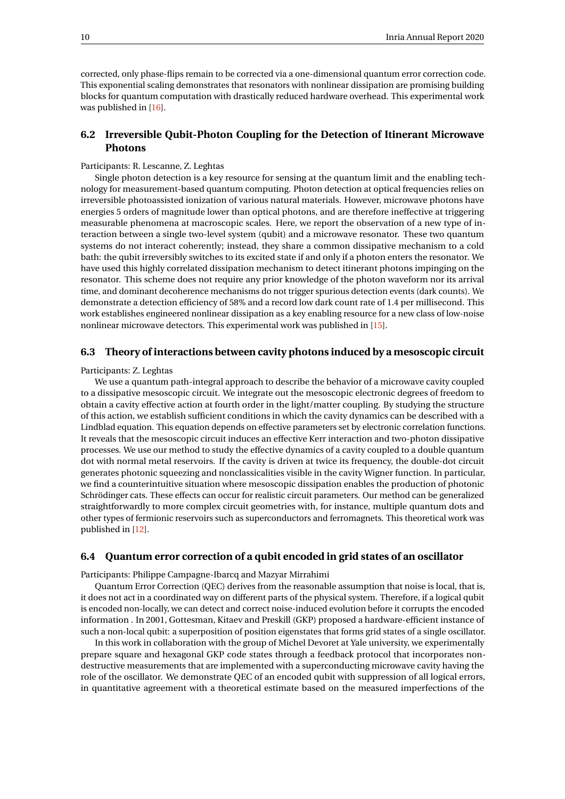corrected, only phase-flips remain to be corrected via a one-dimensional quantum error correction code. This exponential scaling demonstrates that resonators with nonlinear dissipation are promising building blocks for quantum computation with drastically reduced hardware overhead. This experimental work was published in [\[16\]](#page-21-0).

# <span id="page-12-0"></span>**6.2 Irreversible Qubit-Photon Coupling for the Detection of Itinerant Microwave Photons**

# Participants: R. Lescanne, Z. Leghtas

Single photon detection is a key resource for sensing at the quantum limit and the enabling technology for measurement-based quantum computing. Photon detection at optical frequencies relies on irreversible photoassisted ionization of various natural materials. However, microwave photons have energies 5 orders of magnitude lower than optical photons, and are therefore ineffective at triggering measurable phenomena at macroscopic scales. Here, we report the observation of a new type of interaction between a single two-level system (qubit) and a microwave resonator. These two quantum systems do not interact coherently; instead, they share a common dissipative mechanism to a cold bath: the qubit irreversibly switches to its excited state if and only if a photon enters the resonator. We have used this highly correlated dissipation mechanism to detect itinerant photons impinging on the resonator. This scheme does not require any prior knowledge of the photon waveform nor its arrival time, and dominant decoherence mechanisms do not trigger spurious detection events (dark counts). We demonstrate a detection efficiency of 58% and a record low dark count rate of 1.4 per millisecond. This work establishes engineered nonlinear dissipation as a key enabling resource for a new class of low-noise nonlinear microwave detectors. This experimental work was published in [\[15\]](#page-21-1).

## <span id="page-12-1"></span>**6.3 Theory of interactions between cavity photons induced by a mesoscopic circuit**

#### Participants: Z. Leghtas

We use a quantum path-integral approach to describe the behavior of a microwave cavity coupled to a dissipative mesoscopic circuit. We integrate out the mesoscopic electronic degrees of freedom to obtain a cavity effective action at fourth order in the light/matter coupling. By studying the structure of this action, we establish sufficient conditions in which the cavity dynamics can be described with a Lindblad equation. This equation depends on effective parameters set by electronic correlation functions. It reveals that the mesoscopic circuit induces an effective Kerr interaction and two-photon dissipative processes. We use our method to study the effective dynamics of a cavity coupled to a double quantum dot with normal metal reservoirs. If the cavity is driven at twice its frequency, the double-dot circuit generates photonic squeezing and nonclassicalities visible in the cavity Wigner function. In particular, we find a counterintuitive situation where mesoscopic dissipation enables the production of photonic Schrödinger cats. These effects can occur for realistic circuit parameters. Our method can be generalized straightforwardly to more complex circuit geometries with, for instance, multiple quantum dots and other types of fermionic reservoirs such as superconductors and ferromagnets. This theoretical work was published in [\[12\]](#page-21-2).

#### <span id="page-12-2"></span>**6.4 Quantum error correction of a qubit encoded in grid states of an oscillator**

Participants: Philippe Campagne-Ibarcq and Mazyar Mirrahimi

Quantum Error Correction (QEC) derives from the reasonable assumption that noise is local, that is, it does not act in a coordinated way on different parts of the physical system. Therefore, if a logical qubit is encoded non-locally, we can detect and correct noise-induced evolution before it corrupts the encoded information . In 2001, Gottesman, Kitaev and Preskill (GKP) proposed a hardware-efficient instance of such a non-local qubit: a superposition of position eigenstates that forms grid states of a single oscillator.

In this work in collaboration with the group of Michel Devoret at Yale university, we experimentally prepare square and hexagonal GKP code states through a feedback protocol that incorporates nondestructive measurements that are implemented with a superconducting microwave cavity having the role of the oscillator. We demonstrate QEC of an encoded qubit with suppression of all logical errors, in quantitative agreement with a theoretical estimate based on the measured imperfections of the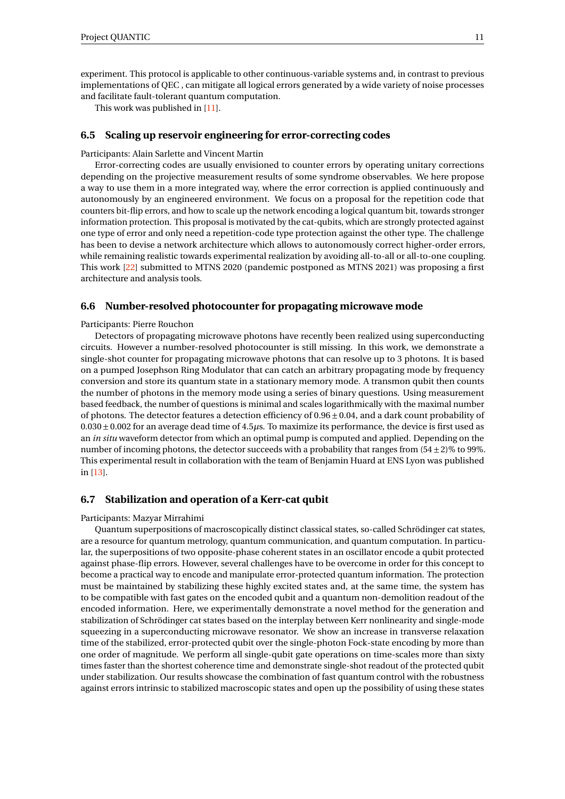experiment. This protocol is applicable to other continuous-variable systems and, in contrast to previous implementations of QEC , can mitigate all logical errors generated by a wide variety of noise processes and facilitate fault-tolerant quantum computation.

This work was published in [\[11\]](#page-20-10).

#### <span id="page-13-0"></span>**6.5 Scaling up reservoir engineering for error-correcting codes**

Participants: Alain Sarlette and Vincent Martin

Error-correcting codes are usually envisioned to counter errors by operating unitary corrections depending on the projective measurement results of some syndrome observables. We here propose a way to use them in a more integrated way, where the error correction is applied continuously and autonomously by an engineered environment. We focus on a proposal for the repetition code that counters bit-flip errors, and how to scale up the network encoding a logical quantum bit, towards stronger information protection. This proposal is motivated by the cat-qubits, which are strongly protected against one type of error and only need a repetition-code type protection against the other type. The challenge has been to devise a network architecture which allows to autonomously correct higher-order errors, while remaining realistic towards experimental realization by avoiding all-to-all or all-to-one coupling. This work [\[22\]](#page-21-3) submitted to MTNS 2020 (pandemic postponed as MTNS 2021) was proposing a first architecture and analysis tools.

## <span id="page-13-1"></span>**6.6 Number-resolved photocounter for propagating microwave mode**

Participants: Pierre Rouchon

Detectors of propagating microwave photons have recently been realized using superconducting circuits. However a number-resolved photocounter is still missing. In this work, we demonstrate a single-shot counter for propagating microwave photons that can resolve up to 3 photons. It is based on a pumped Josephson Ring Modulator that can catch an arbitrary propagating mode by frequency conversion and store its quantum state in a stationary memory mode. A transmon qubit then counts the number of photons in the memory mode using a series of binary questions. Using measurement based feedback, the number of questions is minimal and scales logarithmically with the maximal number of photons. The detector features a detection efficiency of  $0.96 \pm 0.04$ , and a dark count probability of 0.030±0.002 for an average dead time of 4.5*µ*s. To maximize its performance, the device is first used as an *in situ* waveform detector from which an optimal pump is computed and applied. Depending on the number of incoming photons, the detector succeeds with a probability that ranges from  $(54 \pm 2)\%$  to 99%. This experimental result in collaboration with the team of Benjamin Huard at ENS Lyon was published in [\[13\]](#page-21-4).

#### <span id="page-13-2"></span>**6.7 Stabilization and operation of a Kerr-cat qubit**

Participants: Mazyar Mirrahimi

Quantum superpositions of macroscopically distinct classical states, so-called Schrödinger cat states, are a resource for quantum metrology, quantum communication, and quantum computation. In particular, the superpositions of two opposite-phase coherent states in an oscillator encode a qubit protected against phase-flip errors. However, several challenges have to be overcome in order for this concept to become a practical way to encode and manipulate error-protected quantum information. The protection must be maintained by stabilizing these highly excited states and, at the same time, the system has to be compatible with fast gates on the encoded qubit and a quantum non-demolition readout of the encoded information. Here, we experimentally demonstrate a novel method for the generation and stabilization of Schrödinger cat states based on the interplay between Kerr nonlinearity and single-mode squeezing in a superconducting microwave resonator. We show an increase in transverse relaxation time of the stabilized, error-protected qubit over the single-photon Fock-state encoding by more than one order of magnitude. We perform all single-qubit gate operations on time-scales more than sixty times faster than the shortest coherence time and demonstrate single-shot readout of the protected qubit under stabilization. Our results showcase the combination of fast quantum control with the robustness against errors intrinsic to stabilized macroscopic states and open up the possibility of using these states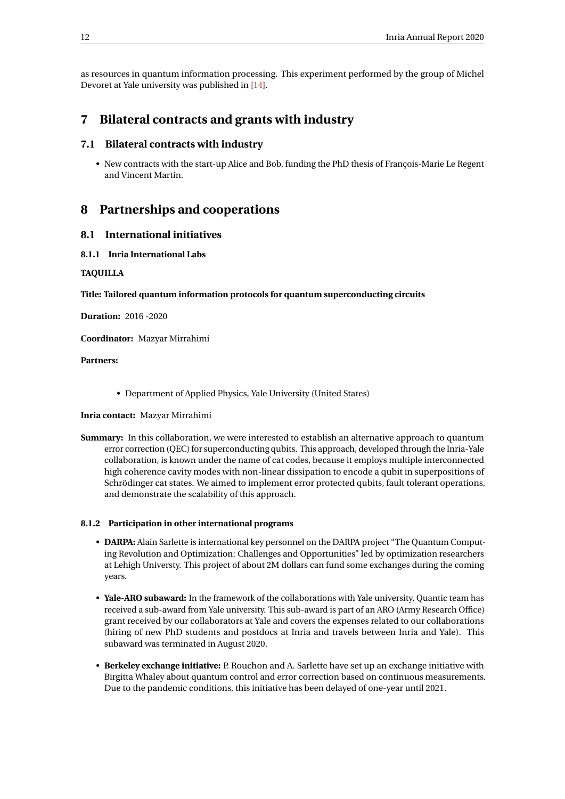as resources in quantum information processing. This experiment performed by the group of Michel Devoret at Yale university was published in [\[14\]](#page-21-5).

# <span id="page-14-0"></span>**7 Bilateral contracts and grants with industry**

# <span id="page-14-1"></span>**7.1 Bilateral contracts with industry**

• New contracts with the start-up Alice and Bob, funding the PhD thesis of François-Marie Le Regent and Vincent Martin.

# <span id="page-14-2"></span>**8 Partnerships and cooperations**

# <span id="page-14-3"></span>**8.1 International initiatives**

<span id="page-14-4"></span>**8.1.1 Inria International Labs**

#### **TAQUILLA**

#### **Title: Tailored quantum information protocols for quantum superconducting circuits**

**Duration:** 2016 -2020

**Coordinator:** Mazyar Mirrahimi

#### **Partners:**

• Department of Applied Physics, Yale University (United States)

#### **Inria contact:** Mazyar Mirrahimi

**Summary:** In this collaboration, we were interested to establish an alternative approach to quantum error correction (QEC) for superconducting qubits. This approach, developed through the Inria-Yale collaboration, is known under the name of cat codes, because it employs multiple interconnected high coherence cavity modes with non-linear dissipation to encode a qubit in superpositions of Schrödinger cat states. We aimed to implement error protected qubits, fault tolerant operations, and demonstrate the scalability of this approach.

#### <span id="page-14-5"></span>**8.1.2 Participation in other international programs**

- **DARPA:** Alain Sarlette is international key personnel on the DARPA project "The Quantum Computing Revolution and Optimization: Challenges and Opportunities" led by optimization researchers at Lehigh Universty. This project of about 2M dollars can fund some exchanges during the coming years.
- **Yale-ARO subaward:** In the framework of the collaborations with Yale university, Quantic team has received a sub-award from Yale university. This sub-award is part of an ARO (Army Research Office) grant received by our collaborators at Yale and covers the expenses related to our collaborations (hiring of new PhD students and postdocs at Inria and travels between Inria and Yale). This subaward was terminated in August 2020.
- **Berkeley exchange initiative:** P. Rouchon and A. Sarlette have set up an exchange initiative with Birgitta Whaley about quantum control and error correction based on continuous measurements. Due to the pandemic conditions, this initiative has been delayed of one-year until 2021.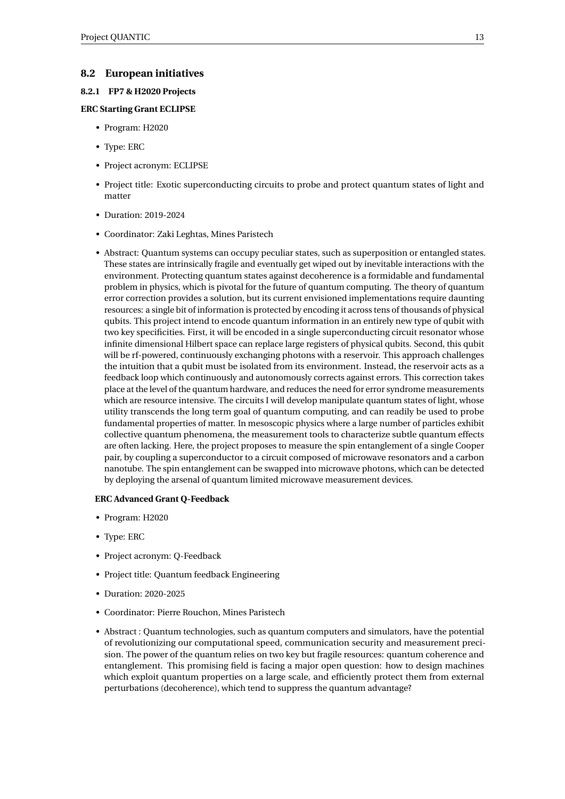# <span id="page-15-0"></span>**8.2 European initiatives**

## <span id="page-15-1"></span>**8.2.1 FP7 & H2020 Projects**

## **ERC Starting Grant ECLIPSE**

- Program: H2020
- Type: ERC
- Project acronym: ECLIPSE
- Project title: Exotic superconducting circuits to probe and protect quantum states of light and matter
- Duration: 2019-2024
- Coordinator: Zaki Leghtas, Mines Paristech
- Abstract: Quantum systems can occupy peculiar states, such as superposition or entangled states. These states are intrinsically fragile and eventually get wiped out by inevitable interactions with the environment. Protecting quantum states against decoherence is a formidable and fundamental problem in physics, which is pivotal for the future of quantum computing. The theory of quantum error correction provides a solution, but its current envisioned implementations require daunting resources: a single bit of information is protected by encoding it across tens of thousands of physical qubits. This project intend to encode quantum information in an entirely new type of qubit with two key specificities. First, it will be encoded in a single superconducting circuit resonator whose infinite dimensional Hilbert space can replace large registers of physical qubits. Second, this qubit will be rf-powered, continuously exchanging photons with a reservoir. This approach challenges the intuition that a qubit must be isolated from its environment. Instead, the reservoir acts as a feedback loop which continuously and autonomously corrects against errors. This correction takes place at the level of the quantum hardware, and reduces the need for error syndrome measurements which are resource intensive. The circuits I will develop manipulate quantum states of light, whose utility transcends the long term goal of quantum computing, and can readily be used to probe fundamental properties of matter. In mesoscopic physics where a large number of particles exhibit collective quantum phenomena, the measurement tools to characterize subtle quantum effects are often lacking. Here, the project proposes to measure the spin entanglement of a single Cooper pair, by coupling a superconductor to a circuit composed of microwave resonators and a carbon nanotube. The spin entanglement can be swapped into microwave photons, which can be detected by deploying the arsenal of quantum limited microwave measurement devices.

#### **ERC Advanced Grant Q-Feedback**

- Program: H2020
- Type: ERC
- Project acronym: Q-Feedback
- Project title: Quantum feedback Engineering
- Duration: 2020-2025
- Coordinator: Pierre Rouchon, Mines Paristech
- Abstract : Quantum technologies, such as quantum computers and simulators, have the potential of revolutionizing our computational speed, communication security and measurement precision. The power of the quantum relies on two key but fragile resources: quantum coherence and entanglement. This promising field is facing a major open question: how to design machines which exploit quantum properties on a large scale, and efficiently protect them from external perturbations (decoherence), which tend to suppress the quantum advantage?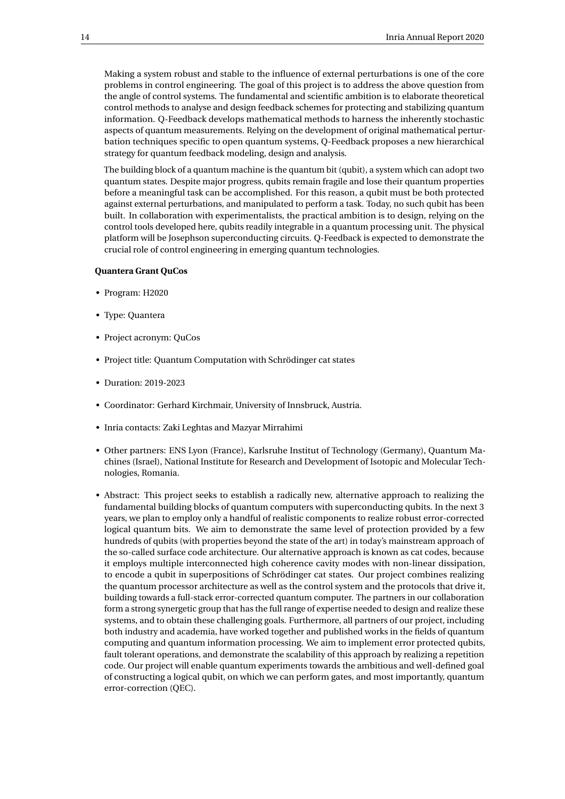Making a system robust and stable to the influence of external perturbations is one of the core problems in control engineering. The goal of this project is to address the above question from the angle of control systems. The fundamental and scientific ambition is to elaborate theoretical control methods to analyse and design feedback schemes for protecting and stabilizing quantum information. Q-Feedback develops mathematical methods to harness the inherently stochastic aspects of quantum measurements. Relying on the development of original mathematical perturbation techniques specific to open quantum systems, Q-Feedback proposes a new hierarchical strategy for quantum feedback modeling, design and analysis.

The building block of a quantum machine is the quantum bit (qubit), a system which can adopt two quantum states. Despite major progress, qubits remain fragile and lose their quantum properties before a meaningful task can be accomplished. For this reason, a qubit must be both protected against external perturbations, and manipulated to perform a task. Today, no such qubit has been built. In collaboration with experimentalists, the practical ambition is to design, relying on the control tools developed here, qubits readily integrable in a quantum processing unit. The physical platform will be Josephson superconducting circuits. Q-Feedback is expected to demonstrate the crucial role of control engineering in emerging quantum technologies.

#### **Quantera Grant QuCos**

- Program: H2020
- Type: Quantera
- Project acronym: QuCos
- Project title: Quantum Computation with Schrödinger cat states
- Duration: 2019-2023
- Coordinator: Gerhard Kirchmair, University of Innsbruck, Austria.
- Inria contacts: Zaki Leghtas and Mazyar Mirrahimi
- Other partners: ENS Lyon (France), Karlsruhe Institut of Technology (Germany), Quantum Machines (Israel), National Institute for Research and Development of Isotopic and Molecular Technologies, Romania.
- Abstract: This project seeks to establish a radically new, alternative approach to realizing the fundamental building blocks of quantum computers with superconducting qubits. In the next 3 years, we plan to employ only a handful of realistic components to realize robust error-corrected logical quantum bits. We aim to demonstrate the same level of protection provided by a few hundreds of qubits (with properties beyond the state of the art) in today's mainstream approach of the so-called surface code architecture. Our alternative approach is known as cat codes, because it employs multiple interconnected high coherence cavity modes with non-linear dissipation, to encode a qubit in superpositions of Schrödinger cat states. Our project combines realizing the quantum processor architecture as well as the control system and the protocols that drive it, building towards a full-stack error-corrected quantum computer. The partners in our collaboration form a strong synergetic group that has the full range of expertise needed to design and realize these systems, and to obtain these challenging goals. Furthermore, all partners of our project, including both industry and academia, have worked together and published works in the fields of quantum computing and quantum information processing. We aim to implement error protected qubits, fault tolerant operations, and demonstrate the scalability of this approach by realizing a repetition code. Our project will enable quantum experiments towards the ambitious and well-defined goal of constructing a logical qubit, on which we can perform gates, and most importantly, quantum error-correction (QEC).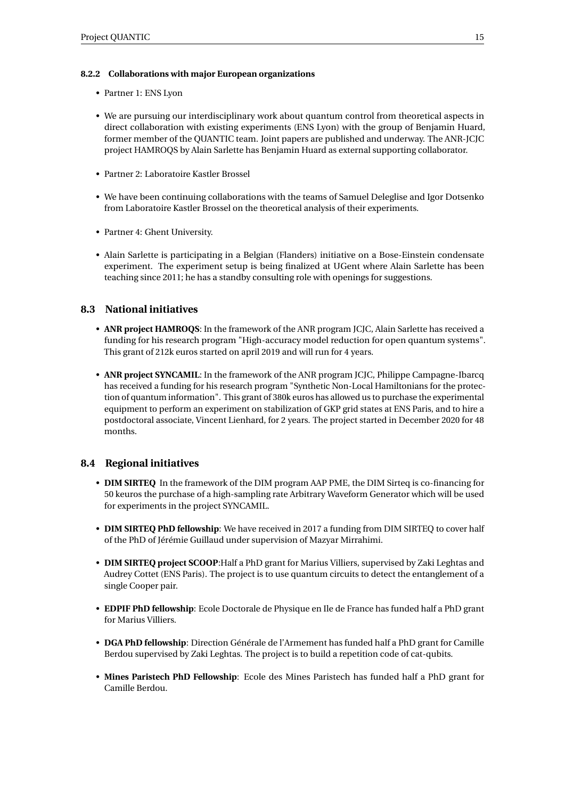## <span id="page-17-0"></span>**8.2.2 Collaborations with major European organizations**

- Partner 1: ENS Lyon
- We are pursuing our interdisciplinary work about quantum control from theoretical aspects in direct collaboration with existing experiments (ENS Lyon) with the group of Benjamin Huard, former member of the QUANTIC team. Joint papers are published and underway. The ANR-JCJC project HAMROQS by Alain Sarlette has Benjamin Huard as external supporting collaborator.
- Partner 2: Laboratoire Kastler Brossel
- We have been continuing collaborations with the teams of Samuel Deleglise and Igor Dotsenko from Laboratoire Kastler Brossel on the theoretical analysis of their experiments.
- Partner 4: Ghent University.
- Alain Sarlette is participating in a Belgian (Flanders) initiative on a Bose-Einstein condensate experiment. The experiment setup is being finalized at UGent where Alain Sarlette has been teaching since 2011; he has a standby consulting role with openings for suggestions.

# <span id="page-17-1"></span>**8.3 National initiatives**

- **ANR project HAMROQS**: In the framework of the ANR program JCJC, Alain Sarlette has received a funding for his research program "High-accuracy model reduction for open quantum systems". This grant of 212k euros started on april 2019 and will run for 4 years.
- **ANR project SYNCAMIL**: In the framework of the ANR program JCJC, Philippe Campagne-Ibarcq has received a funding for his research program "Synthetic Non-Local Hamiltonians for the protection of quantum information". This grant of 380k euros has allowed us to purchase the experimental equipment to perform an experiment on stabilization of GKP grid states at ENS Paris, and to hire a postdoctoral associate, Vincent Lienhard, for 2 years. The project started in December 2020 for 48 months.

# <span id="page-17-2"></span>**8.4 Regional initiatives**

- **DIM SIRTEQ** In the framework of the DIM program AAP PME, the DIM Sirteq is co-financing for 50 keuros the purchase of a high-sampling rate Arbitrary Waveform Generator which will be used for experiments in the project SYNCAMIL.
- **DIM SIRTEQ PhD fellowship**: We have received in 2017 a funding from DIM SIRTEQ to cover half of the PhD of Jérémie Guillaud under supervision of Mazyar Mirrahimi.
- **DIM SIRTEQ project SCOOP**:Half a PhD grant for Marius Villiers, supervised by Zaki Leghtas and Audrey Cottet (ENS Paris). The project is to use quantum circuits to detect the entanglement of a single Cooper pair.
- **EDPIF PhD fellowship**: Ecole Doctorale de Physique en Ile de France has funded half a PhD grant for Marius Villiers.
- **DGA PhD fellowship**: Direction Générale de l'Armement has funded half a PhD grant for Camille Berdou supervised by Zaki Leghtas. The project is to build a repetition code of cat-qubits.
- **Mines Paristech PhD Fellowship**: Ecole des Mines Paristech has funded half a PhD grant for Camille Berdou.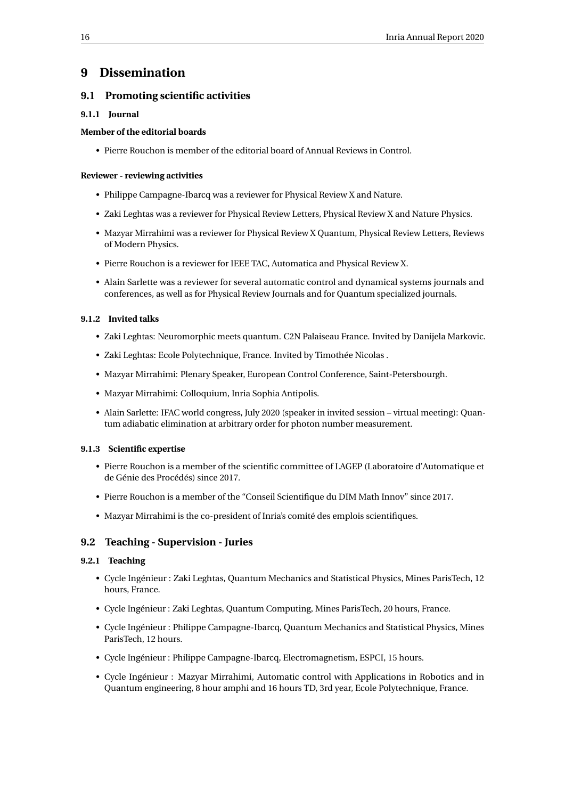# <span id="page-18-0"></span>**9 Dissemination**

# <span id="page-18-1"></span>**9.1 Promoting scientific activities**

# <span id="page-18-2"></span>**9.1.1 Journal**

## **Member of the editorial boards**

• Pierre Rouchon is member of the editorial board of Annual Reviews in Control.

## **Reviewer - reviewing activities**

- Philippe Campagne-Ibarcq was a reviewer for Physical Review X and Nature.
- Zaki Leghtas was a reviewer for Physical Review Letters, Physical Review X and Nature Physics.
- Mazyar Mirrahimi was a reviewer for Physical Review X Quantum, Physical Review Letters, Reviews of Modern Physics.
- Pierre Rouchon is a reviewer for IEEE TAC, Automatica and Physical Review X.
- Alain Sarlette was a reviewer for several automatic control and dynamical systems journals and conferences, as well as for Physical Review Journals and for Quantum specialized journals.

## <span id="page-18-3"></span>**9.1.2 Invited talks**

- Zaki Leghtas: Neuromorphic meets quantum. C2N Palaiseau France. Invited by Danijela Markovic.
- Zaki Leghtas: Ecole Polytechnique, France. Invited by Timothée Nicolas .
- Mazyar Mirrahimi: Plenary Speaker, European Control Conference, Saint-Petersbourgh.
- Mazyar Mirrahimi: Colloquium, Inria Sophia Antipolis.
- Alain Sarlette: IFAC world congress, July 2020 (speaker in invited session virtual meeting): Quantum adiabatic elimination at arbitrary order for photon number measurement.

#### <span id="page-18-4"></span>**9.1.3 Scientific expertise**

- Pierre Rouchon is a member of the scientific committee of LAGEP (Laboratoire d'Automatique et de Génie des Procédés) since 2017.
- Pierre Rouchon is a member of the "Conseil Scientifique du DIM Math Innov" since 2017.
- Mazyar Mirrahimi is the co-president of Inria's comité des emplois scientifiques.

# <span id="page-18-5"></span>**9.2 Teaching - Supervision - Juries**

#### <span id="page-18-6"></span>**9.2.1 Teaching**

- Cycle Ingénieur : Zaki Leghtas, Quantum Mechanics and Statistical Physics, Mines ParisTech, 12 hours, France.
- Cycle Ingénieur : Zaki Leghtas, Quantum Computing, Mines ParisTech, 20 hours, France.
- Cycle Ingénieur : Philippe Campagne-Ibarcq, Quantum Mechanics and Statistical Physics, Mines ParisTech, 12 hours.
- Cycle Ingénieur : Philippe Campagne-Ibarcq, Electromagnetism, ESPCI, 15 hours.
- Cycle Ingénieur : Mazyar Mirrahimi, Automatic control with Applications in Robotics and in Quantum engineering, 8 hour amphi and 16 hours TD, 3rd year, Ecole Polytechnique, France.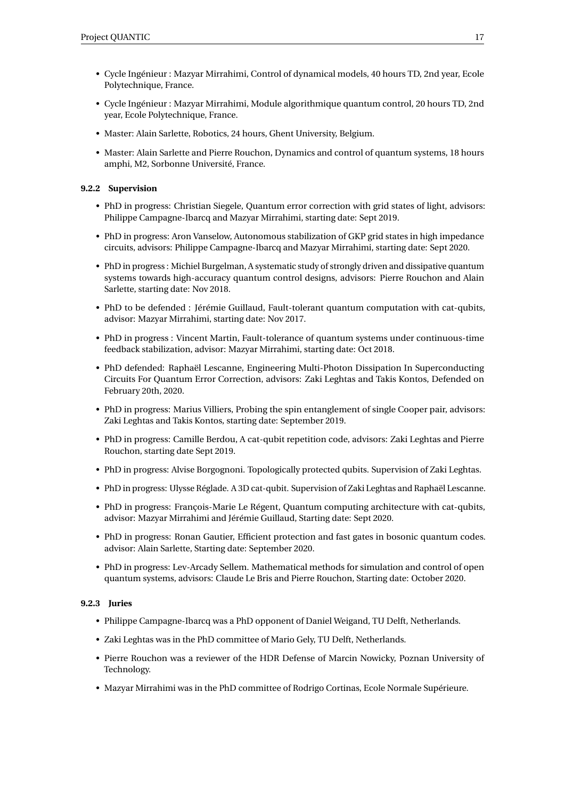- Cycle Ingénieur : Mazyar Mirrahimi, Control of dynamical models, 40 hours TD, 2nd year, Ecole Polytechnique, France.
- Cycle Ingénieur : Mazyar Mirrahimi, Module algorithmique quantum control, 20 hours TD, 2nd year, Ecole Polytechnique, France.
- Master: Alain Sarlette, Robotics, 24 hours, Ghent University, Belgium.
- Master: Alain Sarlette and Pierre Rouchon, Dynamics and control of quantum systems, 18 hours amphi, M2, Sorbonne Université, France.

#### <span id="page-19-0"></span>**9.2.2 Supervision**

- PhD in progress: Christian Siegele, Quantum error correction with grid states of light, advisors: Philippe Campagne-Ibarcq and Mazyar Mirrahimi, starting date: Sept 2019.
- PhD in progress: Aron Vanselow, Autonomous stabilization of GKP grid states in high impedance circuits, advisors: Philippe Campagne-Ibarcq and Mazyar Mirrahimi, starting date: Sept 2020.
- PhD in progress : Michiel Burgelman, A systematic study of strongly driven and dissipative quantum systems towards high-accuracy quantum control designs, advisors: Pierre Rouchon and Alain Sarlette, starting date: Nov 2018.
- PhD to be defended : Jérémie Guillaud, Fault-tolerant quantum computation with cat-qubits, advisor: Mazyar Mirrahimi, starting date: Nov 2017.
- PhD in progress : Vincent Martin, Fault-tolerance of quantum systems under continuous-time feedback stabilization, advisor: Mazyar Mirrahimi, starting date: Oct 2018.
- PhD defended: Raphaël Lescanne, Engineering Multi-Photon Dissipation In Superconducting Circuits For Quantum Error Correction, advisors: Zaki Leghtas and Takis Kontos, Defended on February 20th, 2020.
- PhD in progress: Marius Villiers, Probing the spin entanglement of single Cooper pair, advisors: Zaki Leghtas and Takis Kontos, starting date: September 2019.
- PhD in progress: Camille Berdou, A cat-qubit repetition code, advisors: Zaki Leghtas and Pierre Rouchon, starting date Sept 2019.
- PhD in progress: Alvise Borgognoni. Topologically protected qubits. Supervision of Zaki Leghtas.
- PhD in progress: Ulysse Réglade. A 3D cat-qubit. Supervision of Zaki Leghtas and Raphaël Lescanne.
- PhD in progress: François-Marie Le Régent, Quantum computing architecture with cat-qubits, advisor: Mazyar Mirrahimi and Jérémie Guillaud, Starting date: Sept 2020.
- PhD in progress: Ronan Gautier, Efficient protection and fast gates in bosonic quantum codes. advisor: Alain Sarlette, Starting date: September 2020.
- PhD in progress: Lev-Arcady Sellem. Mathematical methods for simulation and control of open quantum systems, advisors: Claude Le Bris and Pierre Rouchon, Starting date: October 2020.

## <span id="page-19-1"></span>**9.2.3 Juries**

- Philippe Campagne-Ibarcq was a PhD opponent of Daniel Weigand, TU Delft, Netherlands.
- Zaki Leghtas was in the PhD committee of Mario Gely, TU Delft, Netherlands.
- Pierre Rouchon was a reviewer of the HDR Defense of Marcin Nowicky, Poznan University of Technology.
- Mazyar Mirrahimi was in the PhD committee of Rodrigo Cortinas, Ecole Normale Supérieure.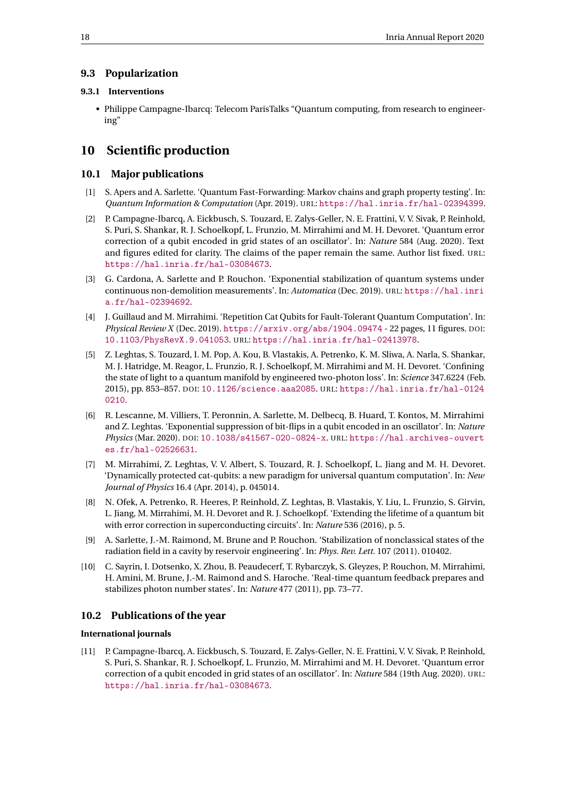# <span id="page-20-0"></span>**9.3 Popularization**

#### <span id="page-20-1"></span>**9.3.1 Interventions**

• Philippe Campagne-Ibarcq: Telecom ParisTalks "Quantum computing, from research to engineering"

# <span id="page-20-2"></span>**10 Scientific production**

## <span id="page-20-3"></span>**10.1 Major publications**

- [1] S. Apers and A. Sarlette. 'Quantum Fast-Forwarding: Markov chains and graph property testing'. In: *Quantum Information & Computation* (Apr. 2019). URL: <https://hal.inria.fr/hal-02394399>.
- [2] P. Campagne-Ibarcq, A. Eickbusch, S. Touzard, E. Zalys-Geller, N. E. Frattini, V. V. Sivak, P. Reinhold, S. Puri, S. Shankar, R. J. Schoelkopf, L. Frunzio, M. Mirrahimi and M. H. Devoret. 'Quantum error correction of a qubit encoded in grid states of an oscillator'. In: *Nature* 584 (Aug. 2020). Text and figures edited for clarity. The claims of the paper remain the same. Author list fixed. URL: <https://hal.inria.fr/hal-03084673>.
- [3] G. Cardona, A. Sarlette and P. Rouchon. 'Exponential stabilization of quantum systems under continuous non-demolition measurements'. In: *Automatica* (Dec. 2019). URL: [https://hal.inri](https://hal.inria.fr/hal-02394692) [a.fr/hal-02394692](https://hal.inria.fr/hal-02394692).
- [4] J. Guillaud and M. Mirrahimi. 'Repetition Cat Qubits for Fault-Tolerant Quantum Computation'. In: *Physical Review X* (Dec. 2019). <https://arxiv.org/abs/1904.09474> - 22 pages, 11 figures. DOI: [10.1103/PhysRevX.9.041053](https://doi.org/10.1103/PhysRevX.9.041053). URL: <https://hal.inria.fr/hal-02413978>.
- <span id="page-20-8"></span>[5] Z. Leghtas, S. Touzard, I. M. Pop, A. Kou, B. Vlastakis, A. Petrenko, K. M. Sliwa, A. Narla, S. Shankar, M. J. Hatridge, M. Reagor, L. Frunzio, R. J. Schoelkopf, M. Mirrahimi and M. H. Devoret. 'Confining the state of light to a quantum manifold by engineered two-photon loss'. In: *Science* 347.6224 (Feb. 2015), pp. 853–857. DOI: [10.1126/science.aaa2085](https://doi.org/10.1126/science.aaa2085). URL: [https://hal.inria.fr/hal-0124](https://hal.inria.fr/hal-01240210) [0210](https://hal.inria.fr/hal-01240210).
- [6] R. Lescanne, M. Villiers, T. Peronnin, A. Sarlette, M. Delbecq, B. Huard, T. Kontos, M. Mirrahimi and Z. Leghtas. 'Exponential suppression of bit-flips in a qubit encoded in an oscillator'. In: *Nature Physics* (Mar. 2020). DOI: [10.1038/s41567-020-0824-x](https://doi.org/10.1038/s41567-020-0824-x). URL: [https://hal.archives-ouvert](https://hal.archives-ouvertes.fr/hal-02526631) [es.fr/hal-02526631](https://hal.archives-ouvertes.fr/hal-02526631).
- <span id="page-20-7"></span>[7] M. Mirrahimi, Z. Leghtas, V. V. Albert, S. Touzard, R. J. Schoelkopf, L. Jiang and M. H. Devoret. 'Dynamically protected cat-qubits: a new paradigm for universal quantum computation'. In: *New Journal of Physics* 16.4 (Apr. 2014), p. 045014.
- <span id="page-20-5"></span>[8] N. Ofek, A. Petrenko, R. Heeres, P. Reinhold, Z. Leghtas, B. Vlastakis, Y. Liu, L. Frunzio, S. Girvin, L. Jiang, M. Mirrahimi, M. H. Devoret and R. J. Schoelkopf. 'Extending the lifetime of a quantum bit with error correction in superconducting circuits'. In: *Nature* 536 (2016), p. 5.
- <span id="page-20-9"></span>[9] A. Sarlette, J.-M. Raimond, M. Brune and P. Rouchon. 'Stabilization of nonclassical states of the radiation field in a cavity by reservoir engineering'. In: *Phys. Rev. Lett.* 107 (2011). 010402.
- <span id="page-20-6"></span>[10] C. Sayrin, I. Dotsenko, X. Zhou, B. Peaudecerf, T. Rybarczyk, S. Gleyzes, P. Rouchon, M. Mirrahimi, H. Amini, M. Brune, J.-M. Raimond and S. Haroche. 'Real-time quantum feedback prepares and stabilizes photon number states'. In: *Nature* 477 (2011), pp. 73–77.

# <span id="page-20-4"></span>**10.2 Publications of the year**

## **International journals**

<span id="page-20-10"></span>[11] P. Campagne-Ibarcq, A. Eickbusch, S. Touzard, E. Zalys-Geller, N. E. Frattini, V. V. Sivak, P. Reinhold, S. Puri, S. Shankar, R. J. Schoelkopf, L. Frunzio, M. Mirrahimi and M. H. Devoret. 'Quantum error correction of a qubit encoded in grid states of an oscillator'. In: *Nature* 584 (19th Aug. 2020). URL: <https://hal.inria.fr/hal-03084673>.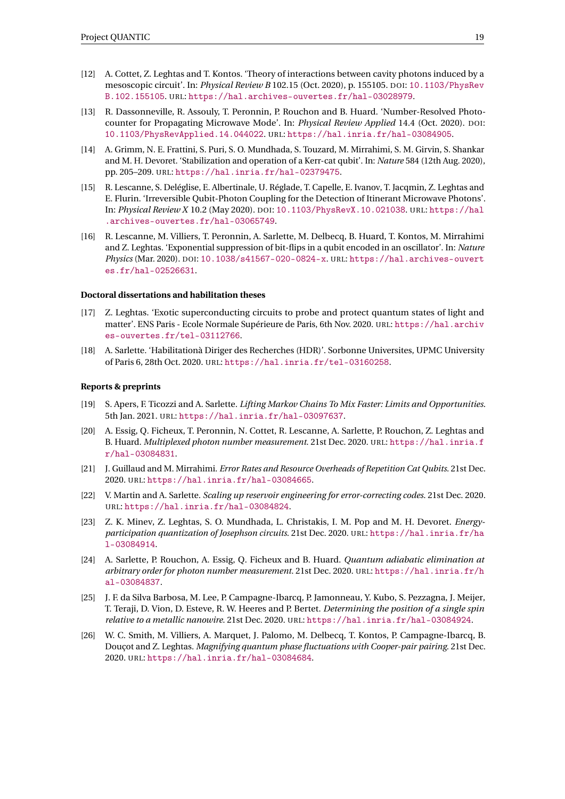- <span id="page-21-2"></span>[12] A. Cottet, Z. Leghtas and T. Kontos. 'Theory of interactions between cavity photons induced by a mesoscopic circuit'. In: *Physical Review B* 102.15 (Oct. 2020), p. 155105. DOI: [10.1103/PhysRev](https://doi.org/10.1103/PhysRevB.102.155105) [B.102.155105](https://doi.org/10.1103/PhysRevB.102.155105). URL: <https://hal.archives-ouvertes.fr/hal-03028979>.
- <span id="page-21-4"></span>[13] R. Dassonneville, R. Assouly, T. Peronnin, P. Rouchon and B. Huard. 'Number-Resolved Photocounter for Propagating Microwave Mode'. In: *Physical Review Applied* 14.4 (Oct. 2020). DOI: [10.1103/PhysRevApplied.14.044022](https://doi.org/10.1103/PhysRevApplied.14.044022). URL: <https://hal.inria.fr/hal-03084905>.
- <span id="page-21-5"></span>[14] A. Grimm, N. E. Frattini, S. Puri, S. O. Mundhada, S. Touzard, M. Mirrahimi, S. M. Girvin, S. Shankar and M. H. Devoret. 'Stabilization and operation of a Kerr-cat qubit'. In: *Nature* 584 (12th Aug. 2020), pp. 205–209. URL: <https://hal.inria.fr/hal-02379475>.
- <span id="page-21-1"></span>[15] R. Lescanne, S. Deléglise, E. Albertinale, U. Réglade, T. Capelle, E. Ivanov, T. Jacqmin, Z. Leghtas and E. Flurin. 'Irreversible Qubit-Photon Coupling for the Detection of Itinerant Microwave Photons'. In: *Physical Review X* 10.2 (May 2020). DOI: [10.1103/PhysRevX.10.021038](https://doi.org/10.1103/PhysRevX.10.021038). URL: [https://hal](https://hal.archives-ouvertes.fr/hal-03065749) [.archives-ouvertes.fr/hal-03065749](https://hal.archives-ouvertes.fr/hal-03065749).
- <span id="page-21-0"></span>[16] R. Lescanne, M. Villiers, T. Peronnin, A. Sarlette, M. Delbecq, B. Huard, T. Kontos, M. Mirrahimi and Z. Leghtas. 'Exponential suppression of bit-flips in a qubit encoded in an oscillator'. In: *Nature Physics* (Mar. 2020). DOI: [10.1038/s41567-020-0824-x](https://doi.org/10.1038/s41567-020-0824-x). URL: [https://hal.archives-ouvert](https://hal.archives-ouvertes.fr/hal-02526631) [es.fr/hal-02526631](https://hal.archives-ouvertes.fr/hal-02526631).

#### **Doctoral dissertations and habilitation theses**

- [17] Z. Leghtas. 'Exotic superconducting circuits to probe and protect quantum states of light and matter'. ENS Paris - Ecole Normale Supérieure de Paris, 6th Nov. 2020. URL: [https://hal.archiv](https://hal.archives-ouvertes.fr/tel-03112766) [es-ouvertes.fr/tel-03112766](https://hal.archives-ouvertes.fr/tel-03112766).
- [18] A. Sarlette. 'Habilitationà Diriger des Recherches (HDR)'. Sorbonne Universites, UPMC University of Paris 6, 28th Oct. 2020. URL: <https://hal.inria.fr/tel-03160258>.

#### **Reports & preprints**

- [19] S. Apers, F. Ticozzi and A. Sarlette. *Lifting Markov Chains To Mix Faster: Limits and Opportunities*. 5th Jan. 2021. URL: <https://hal.inria.fr/hal-03097637>.
- [20] A. Essig, Q. Ficheux, T. Peronnin, N. Cottet, R. Lescanne, A. Sarlette, P. Rouchon, Z. Leghtas and B. Huard. *Multiplexed photon number measurement*. 21st Dec. 2020. URL: [https://hal.inria.f](https://hal.inria.fr/hal-03084831) [r/hal-03084831](https://hal.inria.fr/hal-03084831).
- [21] J. Guillaud and M. Mirrahimi. *Error Rates and Resource Overheads of Repetition Cat Qubits*. 21st Dec. 2020. URL: <https://hal.inria.fr/hal-03084665>.
- <span id="page-21-3"></span>[22] V. Martin and A. Sarlette. *Scaling up reservoir engineering for error-correcting codes*. 21st Dec. 2020. URL: <https://hal.inria.fr/hal-03084824>.
- [23] Z. K. Minev, Z. Leghtas, S. O. Mundhada, L. Christakis, I. M. Pop and M. H. Devoret. *Energyparticipation quantization of Josephson circuits*. 21st Dec. 2020. URL: [https://hal.inria.fr/ha](https://hal.inria.fr/hal-03084914) [l-03084914](https://hal.inria.fr/hal-03084914).
- [24] A. Sarlette, P. Rouchon, A. Essig, Q. Ficheux and B. Huard. *Quantum adiabatic elimination at arbitrary order for photon number measurement*. 21st Dec. 2020. URL: [https://hal.inria.fr/h](https://hal.inria.fr/hal-03084837) [al-03084837](https://hal.inria.fr/hal-03084837).
- [25] J. F. da Silva Barbosa, M. Lee, P. Campagne-Ibarcq, P. Jamonneau, Y. Kubo, S. Pezzagna, J. Meijer, T. Teraji, D. Vion, D. Esteve, R. W. Heeres and P. Bertet. *Determining the position of a single spin relative to a metallic nanowire*. 21st Dec. 2020. URL: <https://hal.inria.fr/hal-03084924>.
- [26] W. C. Smith, M. Villiers, A. Marquet, J. Palomo, M. Delbecq, T. Kontos, P. Campagne-Ibarcq, B. Douçot and Z. Leghtas. *Magnifying quantum phase fluctuations with Cooper-pair pairing*. 21st Dec. 2020. URL: <https://hal.inria.fr/hal-03084684>.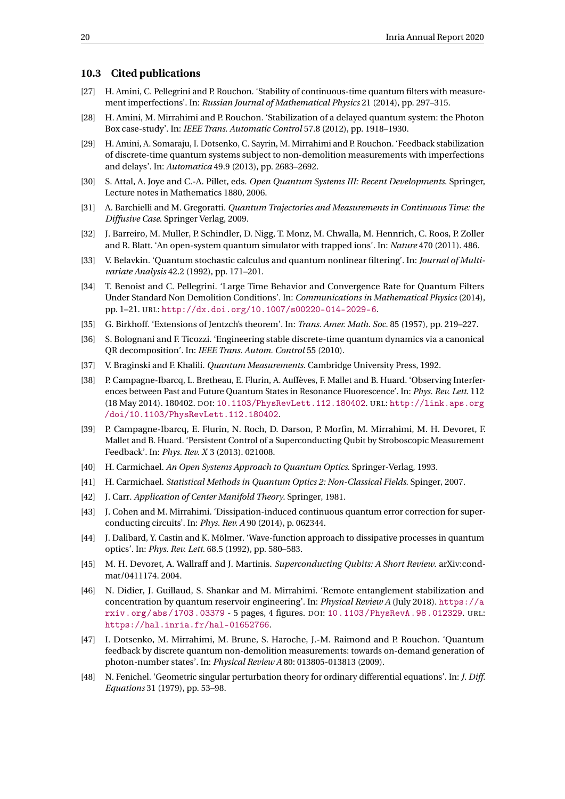#### <span id="page-22-0"></span>**10.3 Cited publications**

- <span id="page-22-14"></span>[27] H. Amini, C. Pellegrini and P. Rouchon. 'Stability of continuous-time quantum filters with measurement imperfections'. In: *Russian Journal of Mathematical Physics* 21 (2014), pp. 297–315.
- <span id="page-22-3"></span>[28] H. Amini, M. Mirrahimi and P. Rouchon. 'Stabilization of a delayed quantum system: the Photon Box case-study'. In: *IEEE Trans. Automatic Control* 57.8 (2012), pp. 1918–1930.
- <span id="page-22-4"></span>[29] H. Amini, A. Somaraju, I. Dotsenko, C. Sayrin, M. Mirrahimi and P. Rouchon. 'Feedback stabilization of discrete-time quantum systems subject to non-demolition measurements with imperfections and delays'. In: *Automatica* 49.9 (2013), pp. 2683–2692.
- <span id="page-22-17"></span>[30] S. Attal, A. Joye and C.-A. Pillet, eds. *Open Quantum Systems III: Recent Developments*. Springer, Lecture notes in Mathematics 1880, 2006.
- <span id="page-22-13"></span>[31] A. Barchielli and M. Gregoratti. *Quantum Trajectories and Measurements in Continuous Time: the Diffusive Case*. Springer Verlag, 2009.
- <span id="page-22-7"></span>[32] J. Barreiro, M. Muller, P. Schindler, D. Nigg, T. Monz, M. Chwalla, M. Hennrich, C. Roos, P. Zoller and R. Blatt. 'An open-system quantum simulator with trapped ions'. In: *Nature* 470 (2011). 486.
- <span id="page-22-10"></span>[33] V. Belavkin. 'Quantum stochastic calculus and quantum nonlinear filtering'. In: *Journal of Multivariate Analysis* 42.2 (1992), pp. 171–201.
- <span id="page-22-15"></span>[34] T. Benoist and C. Pellegrini. 'Large Time Behavior and Convergence Rate for Quantum Filters Under Standard Non Demolition Conditions'. In: *Communications in Mathematical Physics* (2014), pp. 1–21. URL: <http://dx.doi.org/10.1007/s00220-014-2029-6>.
- <span id="page-22-18"></span>[35] G. Birkhoff. 'Extensions of Jentzch's theorem'. In: *Trans. Amer. Math. Soc.* 85 (1957), pp. 219–227.
- <span id="page-22-19"></span>[36] S. Bolognani and F. Ticozzi. 'Engineering stable discrete-time quantum dynamics via a canonical QR decomposition'. In: *IEEE Trans. Autom. Control* 55 (2010).
- <span id="page-22-1"></span>[37] V. Braginski and F. Khalili. *Quantum Measurements*. Cambridge University Press, 1992.
- <span id="page-22-16"></span>[38] P. Campagne-Ibarcq, L. Bretheau, E. Flurin, A. Auffèves, F. Mallet and B. Huard. 'Observing Interferences between Past and Future Quantum States in Resonance Fluorescence'. In: *Phys. Rev. Lett.* 112 (18 May 2014). 180402. DOI: [10.1103/PhysRevLett.112.180402](https://doi.org/10.1103/PhysRevLett.112.180402). URL: [http://link.aps.org](http://link.aps.org/doi/10.1103/PhysRevLett.112.180402) [/doi/10.1103/PhysRevLett.112.180402](http://link.aps.org/doi/10.1103/PhysRevLett.112.180402).
- <span id="page-22-6"></span>[39] P. Campagne-Ibarcq, E. Flurin, N. Roch, D. Darson, P. Morfin, M. Mirrahimi, M. H. Devoret, F. Mallet and B. Huard. 'Persistent Control of a Superconducting Qubit by Stroboscopic Measurement Feedback'. In: *Phys. Rev. X* 3 (2013). 021008.
- <span id="page-22-11"></span>[40] H. Carmichael. *An Open Systems Approach to Quantum Optics*. Springer-Verlag, 1993.
- <span id="page-22-20"></span>[41] H. Carmichael. *Statistical Methods in Quantum Optics 2: Non-Classical Fields*. Spinger, 2007.
- <span id="page-22-22"></span>[42] J. Carr. *Application of Center Manifold Theory*. Springer, 1981.
- <span id="page-22-8"></span>[43] J. Cohen and M. Mirrahimi. 'Dissipation-induced continuous quantum error correction for superconducting circuits'. In: *Phys. Rev. A* 90 (2014), p. 062344.
- <span id="page-22-12"></span>[44] I. Dalibard, Y. Castin and K. Mölmer. 'Wave-function approach to dissipative processes in quantum optics'. In: *Phys. Rev. Lett.* 68.5 (1992), pp. 580–583.
- <span id="page-22-5"></span>[45] M. H. Devoret, A. Wallraff and J. Martinis. *Superconducting Qubits: A Short Review*. arXiv:condmat/0411174. 2004.
- <span id="page-22-9"></span>[46] N. Didier, J. Guillaud, S. Shankar and M. Mirrahimi. 'Remote entanglement stabilization and concentration by quantum reservoir engineering'. In: *Physical Review A* (July 2018). [https://a](https://arxiv.org/abs/1703.03379) [rxiv.org/abs/1703.03379](https://arxiv.org/abs/1703.03379) - 5 pages, 4 figures. DOI: [10.1103/PhysRevA.98.012329](https://doi.org/10.1103/PhysRevA.98.012329). URL: <https://hal.inria.fr/hal-01652766>.
- <span id="page-22-2"></span>[47] I. Dotsenko, M. Mirrahimi, M. Brune, S. Haroche, J.-M. Raimond and P. Rouchon. 'Quantum feedback by discrete quantum non-demolition measurements: towards on-demand generation of photon-number states'. In: *Physical Review A* 80: 013805-013813 (2009).
- <span id="page-22-21"></span>[48] N. Fenichel. 'Geometric singular perturbation theory for ordinary differential equations'. In: *J. Diff. Equations* 31 (1979), pp. 53–98.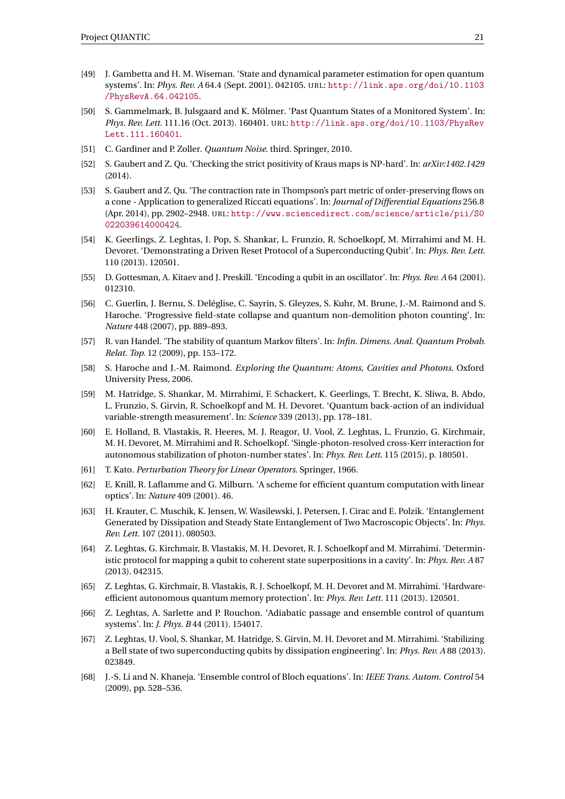- <span id="page-23-12"></span>[49] J. Gambetta and H. M. Wiseman. 'State and dynamical parameter estimation for open quantum systems'. In: *Phys. Rev. A* 64.4 (Sept. 2001). 042105. URL: [http://link.aps.org/doi/10.1103](http://link.aps.org/doi/10.1103/PhysRevA.64.042105) [/PhysRevA.64.042105](http://link.aps.org/doi/10.1103/PhysRevA.64.042105).
- <span id="page-23-13"></span>[50] S. Gammelmark, B. Julsgaard and K. Mölmer. 'Past Quantum States of a Monitored System'. In: *Phys. Rev. Lett.* 111.16 (Oct. 2013). 160401. URL: [http://link.aps.org/doi/10.1103/PhysRev](http://link.aps.org/doi/10.1103/PhysRevLett.111.160401) [Lett.111.160401](http://link.aps.org/doi/10.1103/PhysRevLett.111.160401).
- <span id="page-23-17"></span>[51] C. Gardiner and P. Zoller. *Quantum Noise*. third. Springer, 2010.
- <span id="page-23-15"></span>[52] S. Gaubert and Z. Qu. 'Checking the strict positivity of Kraus maps is NP-hard'. In: *arXiv:1402.1429* (2014).
- <span id="page-23-14"></span>[53] S. Gaubert and Z. Qu. 'The contraction rate in Thompson's part metric of order-preserving flows on a cone - Application to generalized Riccati equations'. In: *Journal of Differential Equations* 256.8 (Apr. 2014), pp. 2902–2948. URL: [http://www.sciencedirect.com/science/article/pii/S0](http://www.sciencedirect.com/science/article/pii/S0022039614000424) [022039614000424](http://www.sciencedirect.com/science/article/pii/S0022039614000424).
- <span id="page-23-7"></span>[54] K. Geerlings, Z. Leghtas, I. Pop, S. Shankar, L. Frunzio, R. Schoelkopf, M. Mirrahimi and M. H. Devoret. 'Demonstrating a Driven Reset Protocol of a Superconducting Qubit'. In: *Phys. Rev. Lett.* 110 (2013). 120501.
- <span id="page-23-2"></span>[55] D. Gottesman, A. Kitaev and J. Preskill. 'Encoding a qubit in an oscillator'. In: *Phys. Rev. A* 64 (2001). 012310.
- <span id="page-23-5"></span>[56] C. Guerlin, J. Bernu, S. Deléglise, C. Sayrin, S. Gleyzes, S. Kuhr, M. Brune, J.-M. Raimond and S. Haroche. 'Progressive field-state collapse and quantum non-demolition photon counting'. In: *Nature* 448 (2007), pp. 889–893.
- <span id="page-23-11"></span>[57] R. van Handel. 'The stability of quantum Markov filters'. In: *Infin. Dimens. Anal. Quantum Probab. Relat. Top.* 12 (2009), pp. 153–172.
- <span id="page-23-4"></span>[58] S. Haroche and J.-M. Raimond. *Exploring the Quantum: Atoms, Cavities and Photons*. Oxford University Press, 2006.
- <span id="page-23-6"></span>[59] M. Hatridge, S. Shankar, M. Mirrahimi, F. Schackert, K. Geerlings, T. Brecht, K. Sliwa, B. Abdo, L. Frunzio, S. Girvin, R. Schoelkopf and M. H. Devoret. 'Quantum back-action of an individual variable-strength measurement'. In: *Science* 339 (2013), pp. 178–181.
- <span id="page-23-10"></span>[60] E. Holland, B. Vlastakis, R. Heeres, M. J. Reagor, U. Vool, Z. Leghtas, L. Frunzio, G. Kirchmair, M. H. Devoret, M. Mirrahimi and R. Schoelkopf. 'Single-photon-resolved cross-Kerr interaction for autonomous stabilization of photon-number states'. In: *Phys. Rev. Lett.* 115 (2015), p. 180501.
- <span id="page-23-19"></span>[61] T. Kato. *Perturbation Theory for Linear Operators*. Springer, 1966.
- <span id="page-23-1"></span>[62] E. Knill, R. Laflamme and G. Milburn. 'A scheme for efficient quantum computation with linear optics'. In: *Nature* 409 (2001). 46.
- <span id="page-23-8"></span>[63] H. Krauter, C. Muschik, K. Jensen, W. Wasilewski, J. Petersen, J. Cirac and E. Polzik. 'Entanglement Generated by Dissipation and Steady State Entanglement of Two Macroscopic Objects'. In: *Phys. Rev. Lett.* 107 (2011). 080503.
- <span id="page-23-3"></span>[64] Z. Leghtas, G. Kirchmair, B. Vlastakis, M. H. Devoret, R. J. Schoelkopf and M. Mirrahimi. 'Deterministic protocol for mapping a qubit to coherent state superpositions in a cavity'. In: *Phys. Rev. A* 87 (2013). 042315.
- <span id="page-23-0"></span>[65] Z. Leghtas, G. Kirchmair, B. Vlastakis, R. J. Schoelkopf, M. H. Devoret and M. Mirrahimi. 'Hardwareefficient autonomous quantum memory protection'. In: *Phys. Rev. Lett.* 111 (2013). 120501.
- <span id="page-23-18"></span>[66] Z. Leghtas, A. Sarlette and P. Rouchon. 'Adiabatic passage and ensemble control of quantum systems'. In: *J. Phys. B* 44 (2011). 154017.
- <span id="page-23-9"></span>[67] Z. Leghtas, U. Vool, S. Shankar, M. Hatridge, S. Girvin, M. H. Devoret and M. Mirrahimi. 'Stabilizing a Bell state of two superconducting qubits by dissipation engineering'. In: *Phys. Rev. A* 88 (2013). 023849.
- <span id="page-23-16"></span>[68] J.-S. Li and N. Khaneja. 'Ensemble control of Bloch equations'. In: *IEEE Trans. Autom. Control* 54 (2009), pp. 528–536.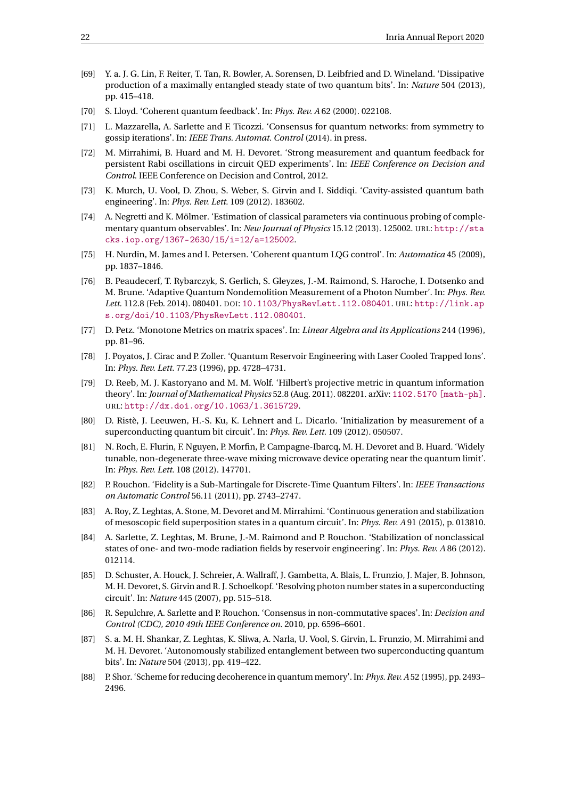- <span id="page-24-7"></span>[69] Y. a. J. G. Lin, F. Reiter, T. Tan, R. Bowler, A. Sorensen, D. Leibfried and D. Wineland. 'Dissipative production of a maximally entangled steady state of two quantum bits'. In: *Nature* 504 (2013), pp. 415–418.
- <span id="page-24-5"></span>[70] S. Lloyd. 'Coherent quantum feedback'. In: *Phys. Rev. A* 62 (2000). 022108.
- <span id="page-24-18"></span>[71] L. Mazzarella, A. Sarlette and F. Ticozzi. 'Consensus for quantum networks: from symmetry to gossip iterations'. In: *IEEE Trans. Automat. Control* (2014). in press.
- <span id="page-24-3"></span>[72] M. Mirrahimi, B. Huard and M. H. Devoret. 'Strong measurement and quantum feedback for persistent Rabi oscillations in circuit QED experiments'. In: *IEEE Conference on Decision and Control*. IEEE Conference on Decision and Control, 2012.
- <span id="page-24-6"></span>[73] K. Murch, U. Vool, D. Zhou, S. Weber, S. Girvin and I. Siddiqi. 'Cavity-assisted quantum bath engineering'. In: *Phys. Rev. Lett.* 109 (2012). 183602.
- <span id="page-24-14"></span>[74] A. Negretti and K. Mölmer. 'Estimation of classical parameters via continuous probing of complementary quantum observables'. In: *New Journal of Physics* 15.12 (2013). 125002. URL: [http://sta](http://stacks.iop.org/1367-2630/15/i=12/a=125002) [cks.iop.org/1367-2630/15/i=12/a=125002](http://stacks.iop.org/1367-2630/15/i=12/a=125002).
- <span id="page-24-19"></span>[75] H. Nurdin, M. James and I. Petersen. 'Coherent quantum LQG control'. In: *Automatica* 45 (2009), pp. 1837–1846.
- <span id="page-24-13"></span>[76] B. Peaudecerf, T. Rybarczyk, S. Gerlich, S. Gleyzes, J.-M. Raimond, S. Haroche, I. Dotsenko and M. Brune. 'Adaptive Quantum Nondemolition Measurement of a Photon Number'. In: *Phys. Rev. Lett.* 112.8 (Feb. 2014). 080401. DOI: [10.1103/PhysRevLett.112.080401](https://doi.org/10.1103/PhysRevLett.112.080401). URL: [http://link.ap](http://link.aps.org/doi/10.1103/PhysRevLett.112.080401) [s.org/doi/10.1103/PhysRevLett.112.080401](http://link.aps.org/doi/10.1103/PhysRevLett.112.080401).
- <span id="page-24-15"></span>[77] D. Petz. 'Monotone Metrics on matrix spaces'. In: *Linear Algebra and its Applications* 244 (1996), pp. 81–96.
- <span id="page-24-4"></span>[78] J. Poyatos, J. Cirac and P. Zoller. 'Quantum Reservoir Engineering with Laser Cooled Trapped Ions'. In: *Phys. Rev. Lett.* 77.23 (1996), pp. 4728–4731.
- <span id="page-24-17"></span>[79] D. Reeb, M. J. Kastoryano and M. M. Wolf. 'Hilbert's projective metric in quantum information theory'. In: *Journal of Mathematical Physics* 52.8 (Aug. 2011). 082201. arXiv: [1102.5170 \[math-ph\]](https://arxiv.org/abs/1102.5170). URL: <http://dx.doi.org/10.1063/1.3615729>.
- <span id="page-24-2"></span>[80] D. Ristè, J. Leeuwen, H.-S. Ku, K. Lehnert and L. Dicarlo. 'Initialization by measurement of a superconducting quantum bit circuit'. In: *Phys. Rev. Lett.* 109 (2012). 050507.
- <span id="page-24-1"></span>[81] N. Roch, E. Flurin, F. Nguyen, P. Morfin, P. Campagne-Ibarcq, M. H. Devoret and B. Huard. 'Widely tunable, non-degenerate three-wave mixing microwave device operating near the quantum limit'. In: *Phys. Rev. Lett.* 108 (2012). 147701.
- <span id="page-24-11"></span>[82] P. Rouchon. 'Fidelity is a Sub-Martingale for Discrete-Time Quantum Filters'. In: *IEEE Transactions on Automatic Control* 56.11 (2011), pp. 2743–2747.
- <span id="page-24-10"></span>[83] A. Roy, Z. Leghtas, A. Stone, M. Devoret and M. Mirrahimi. 'Continuous generation and stabilization of mesoscopic field superposition states in a quantum circuit'. In: *Phys. Rev. A* 91 (2015), p. 013810.
- <span id="page-24-12"></span>[84] A. Sarlette, Z. Leghtas, M. Brune, J.-M. Raimond and P. Rouchon. 'Stabilization of nonclassical states of one- and two-mode radiation fields by reservoir engineering'. In: *Phys. Rev. A* 86 (2012). 012114.
- <span id="page-24-9"></span>[85] D. Schuster, A. Houck, J. Schreier, A. Wallraff, J. Gambetta, A. Blais, L. Frunzio, J. Majer, B. Johnson, M. H. Devoret, S. Girvin and R. J. Schoelkopf. 'Resolving photon number states in a superconducting circuit'. In: *Nature* 445 (2007), pp. 515–518.
- <span id="page-24-16"></span>[86] R. Sepulchre, A. Sarlette and P. Rouchon. 'Consensus in non-commutative spaces'. In: *Decision and Control (CDC), 2010 49th IEEE Conference on*. 2010, pp. 6596–6601.
- <span id="page-24-8"></span>[87] S. a. M. H. Shankar, Z. Leghtas, K. Sliwa, A. Narla, U. Vool, S. Girvin, L. Frunzio, M. Mirrahimi and M. H. Devoret. 'Autonomously stabilized entanglement between two superconducting quantum bits'. In: *Nature* 504 (2013), pp. 419–422.
- <span id="page-24-0"></span>[88] P. Shor. 'Scheme for reducing decoherence in quantum memory'. In: *Phys. Rev. A* 52 (1995), pp. 2493– 2496.